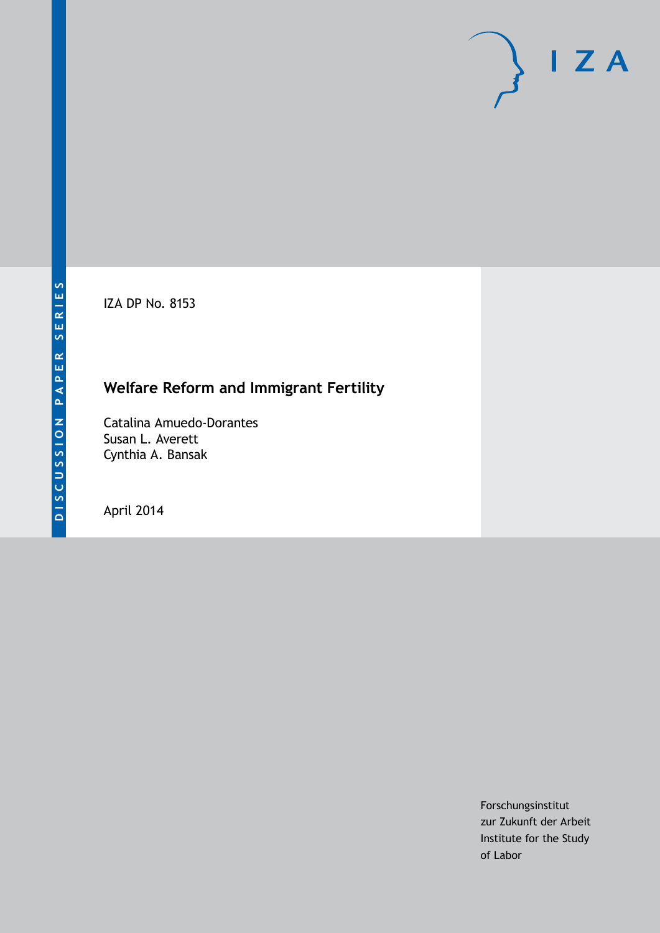IZA DP No. 8153

# **Welfare Reform and Immigrant Fertility**

Catalina Amuedo-Dorantes Susan L. Averett Cynthia A. Bansak

April 2014

Forschungsinstitut zur Zukunft der Arbeit Institute for the Study of Labor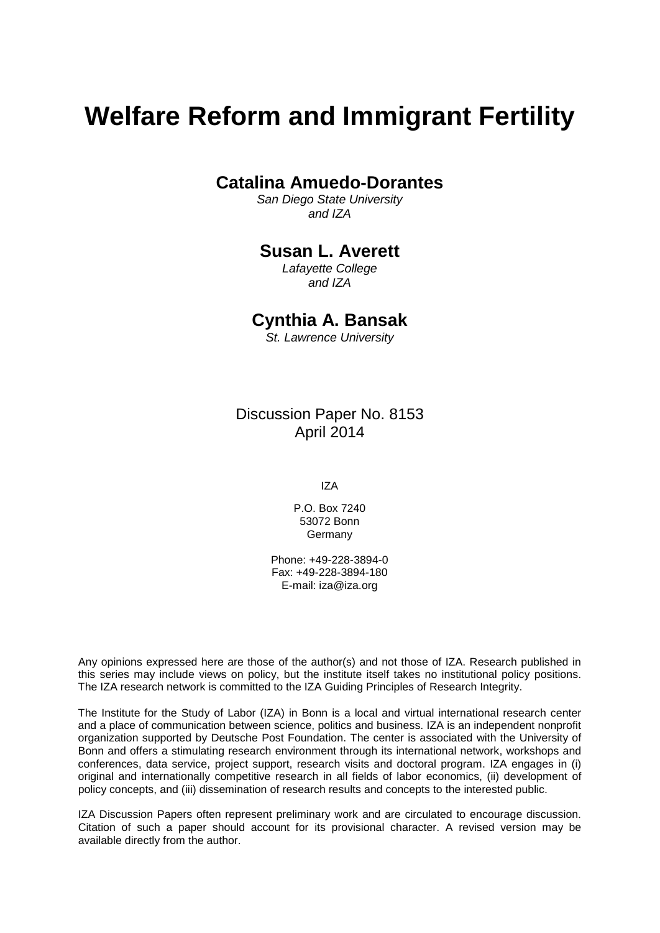# **Welfare Reform and Immigrant Fertility**

# **Catalina Amuedo-Dorantes**

*San Diego State University and IZA*

# **Susan L. Averett**

*Lafayette College and IZA*

## **Cynthia A. Bansak**

*St. Lawrence University*

# Discussion Paper No. 8153 April 2014

IZA

P.O. Box 7240 53072 Bonn Germany

Phone: +49-228-3894-0 Fax: +49-228-3894-180 E-mail: [iza@iza.org](mailto:iza@iza.org)

Any opinions expressed here are those of the author(s) and not those of IZA. Research published in this series may include views on policy, but the institute itself takes no institutional policy positions. The IZA research network is committed to the IZA Guiding Principles of Research Integrity.

The Institute for the Study of Labor (IZA) in Bonn is a local and virtual international research center and a place of communication between science, politics and business. IZA is an independent nonprofit organization supported by Deutsche Post Foundation. The center is associated with the University of Bonn and offers a stimulating research environment through its international network, workshops and conferences, data service, project support, research visits and doctoral program. IZA engages in (i) original and internationally competitive research in all fields of labor economics, (ii) development of policy concepts, and (iii) dissemination of research results and concepts to the interested public.

<span id="page-1-0"></span>IZA Discussion Papers often represent preliminary work and are circulated to encourage discussion. Citation of such a paper should account for its provisional character. A revised version may be available directly from the author.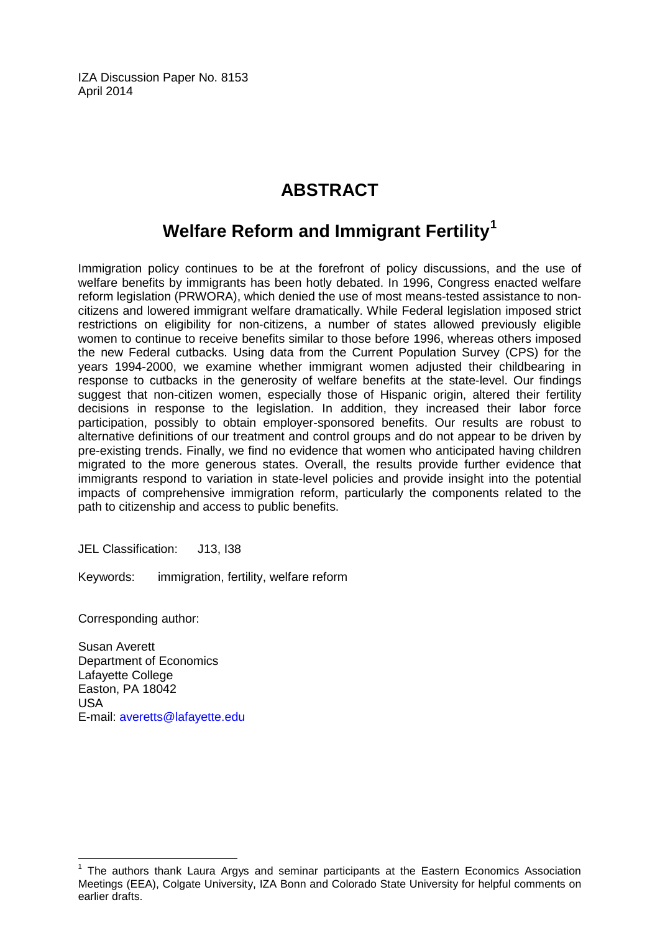IZA Discussion Paper No. 8153 April 2014

# **ABSTRACT**

# **Welfare Reform and Immigrant Fertility[1](#page-1-0)**

Immigration policy continues to be at the forefront of policy discussions, and the use of welfare benefits by immigrants has been hotly debated. In 1996, Congress enacted welfare reform legislation (PRWORA), which denied the use of most means-tested assistance to noncitizens and lowered immigrant welfare dramatically. While Federal legislation imposed strict restrictions on eligibility for non-citizens, a number of states allowed previously eligible women to continue to receive benefits similar to those before 1996, whereas others imposed the new Federal cutbacks. Using data from the Current Population Survey (CPS) for the years 1994-2000, we examine whether immigrant women adjusted their childbearing in response to cutbacks in the generosity of welfare benefits at the state-level. Our findings suggest that non-citizen women, especially those of Hispanic origin, altered their fertility decisions in response to the legislation. In addition, they increased their labor force participation, possibly to obtain employer-sponsored benefits. Our results are robust to alternative definitions of our treatment and control groups and do not appear to be driven by pre-existing trends. Finally, we find no evidence that women who anticipated having children migrated to the more generous states. Overall, the results provide further evidence that immigrants respond to variation in state-level policies and provide insight into the potential impacts of comprehensive immigration reform, particularly the components related to the path to citizenship and access to public benefits.

JEL Classification: J13, I38

Keywords: immigration, fertility, welfare reform

Corresponding author:

Susan Averett Department of Economics Lafayette College Easton, PA 18042 USA E-mail: [averetts@lafayette.edu](mailto:averetts@lafayette.edu)

 $<sup>1</sup>$  The authors thank Laura Argys and seminar participants at the Eastern Economics Association</sup> Meetings (EEA), Colgate University, IZA Bonn and Colorado State University for helpful comments on earlier drafts.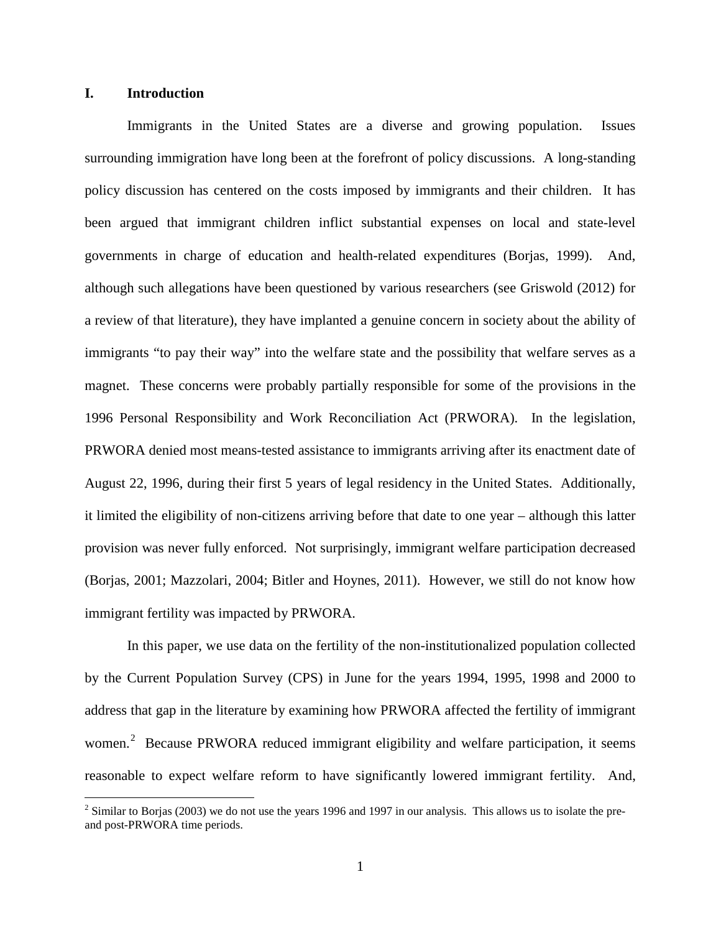### **I. Introduction**

Immigrants in the United States are a diverse and growing population. Issues surrounding immigration have long been at the forefront of policy discussions. A long-standing policy discussion has centered on the costs imposed by immigrants and their children. It has been argued that immigrant children inflict substantial expenses on local and state-level governments in charge of education and health-related expenditures (Borjas, 1999). And, although such allegations have been questioned by various researchers (see Griswold (2012) for a review of that literature), they have implanted a genuine concern in society about the ability of immigrants "to pay their way" into the welfare state and the possibility that welfare serves as a magnet. These concerns were probably partially responsible for some of the provisions in the 1996 Personal Responsibility and Work Reconciliation Act (PRWORA). In the legislation, PRWORA denied most means-tested assistance to immigrants arriving after its enactment date of August 22, 1996, during their first 5 years of legal residency in the United States. Additionally, it limited the eligibility of non-citizens arriving before that date to one year – although this latter provision was never fully enforced. Not surprisingly, immigrant welfare participation decreased (Borjas, 2001; Mazzolari, 2004; Bitler and Hoynes, 2011). However, we still do not know how immigrant fertility was impacted by PRWORA.

In this paper, we use data on the fertility of the non-institutionalized population collected by the Current Population Survey (CPS) in June for the years 1994, 1995, 1998 and 2000 to address that gap in the literature by examining how PRWORA affected the fertility of immigrant women.<sup>2</sup> Because PRWORA reduced immigrant eligibility and welfare participation, it seems reasonable to expect welfare reform to have significantly lowered immigrant fertility. And,

<span id="page-3-0"></span> $2 \text{ Similar to Borjas (2003) we do not use the years 1996 and 1997 in our analysis. This allows us to isolate the pre$ and post-PRWORA time periods.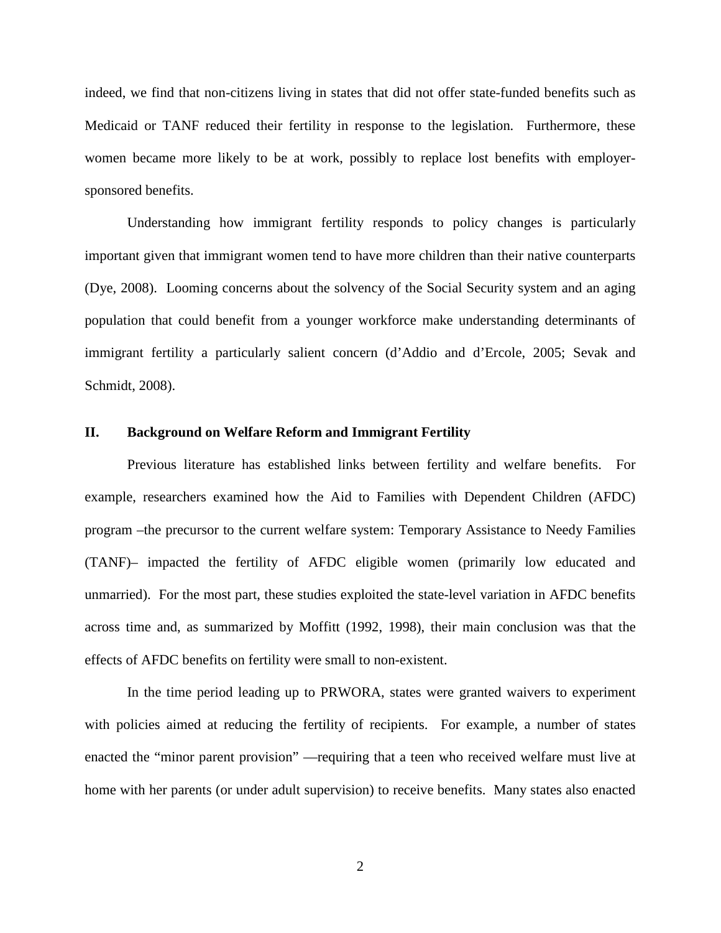indeed, we find that non-citizens living in states that did not offer state-funded benefits such as Medicaid or TANF reduced their fertility in response to the legislation. Furthermore, these women became more likely to be at work, possibly to replace lost benefits with employersponsored benefits.

Understanding how immigrant fertility responds to policy changes is particularly important given that immigrant women tend to have more children than their native counterparts (Dye, 2008). Looming concerns about the solvency of the Social Security system and an aging population that could benefit from a younger workforce make understanding determinants of immigrant fertility a particularly salient concern (d'Addio and d'Ercole, 2005; Sevak and Schmidt, 2008).

#### **II. Background on Welfare Reform and Immigrant Fertility**

Previous literature has established links between fertility and welfare benefits. For example, researchers examined how the Aid to Families with Dependent Children (AFDC) program –the precursor to the current welfare system: Temporary Assistance to Needy Families (TANF)– impacted the fertility of AFDC eligible women (primarily low educated and unmarried). For the most part, these studies exploited the state-level variation in AFDC benefits across time and, as summarized by Moffitt (1992, 1998), their main conclusion was that the effects of AFDC benefits on fertility were small to non-existent.

In the time period leading up to PRWORA, states were granted waivers to experiment with policies aimed at reducing the fertility of recipients. For example, a number of states enacted the "minor parent provision" —requiring that a teen who received welfare must live at home with her parents (or under adult supervision) to receive benefits. Many states also enacted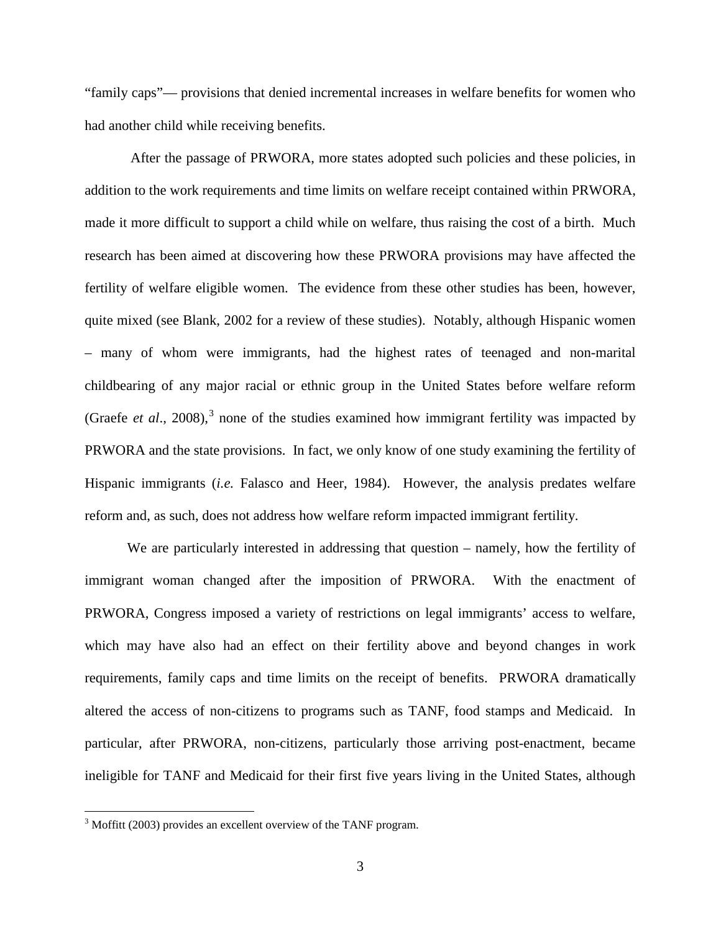"family caps"— provisions that denied incremental increases in welfare benefits for women who had another child while receiving benefits.

After the passage of PRWORA, more states adopted such policies and these policies, in addition to the work requirements and time limits on welfare receipt contained within PRWORA, made it more difficult to support a child while on welfare, thus raising the cost of a birth. Much research has been aimed at discovering how these PRWORA provisions may have affected the fertility of welfare eligible women. The evidence from these other studies has been, however, quite mixed (see Blank, 2002 for a review of these studies). Notably, although Hispanic women – many of whom were immigrants, had the highest rates of teenaged and non-marital childbearing of any major racial or ethnic group in the United States before welfare reform (Graefe *et al.*, 2008),<sup>[3](#page-3-0)</sup> none of the studies examined how immigrant fertility was impacted by PRWORA and the state provisions. In fact, we only know of one study examining the fertility of Hispanic immigrants (*i.e.* Falasco and Heer, 1984). However, the analysis predates welfare reform and, as such, does not address how welfare reform impacted immigrant fertility.

We are particularly interested in addressing that question – namely, how the fertility of immigrant woman changed after the imposition of PRWORA. With the enactment of PRWORA, Congress imposed a variety of restrictions on legal immigrants' access to welfare, which may have also had an effect on their fertility above and beyond changes in work requirements, family caps and time limits on the receipt of benefits. PRWORA dramatically altered the access of non-citizens to programs such as TANF, food stamps and Medicaid. In particular, after PRWORA, non-citizens, particularly those arriving post-enactment, became ineligible for TANF and Medicaid for their first five years living in the United States, although

<span id="page-5-0"></span><sup>&</sup>lt;sup>3</sup> Moffitt (2003) provides an excellent overview of the TANF program.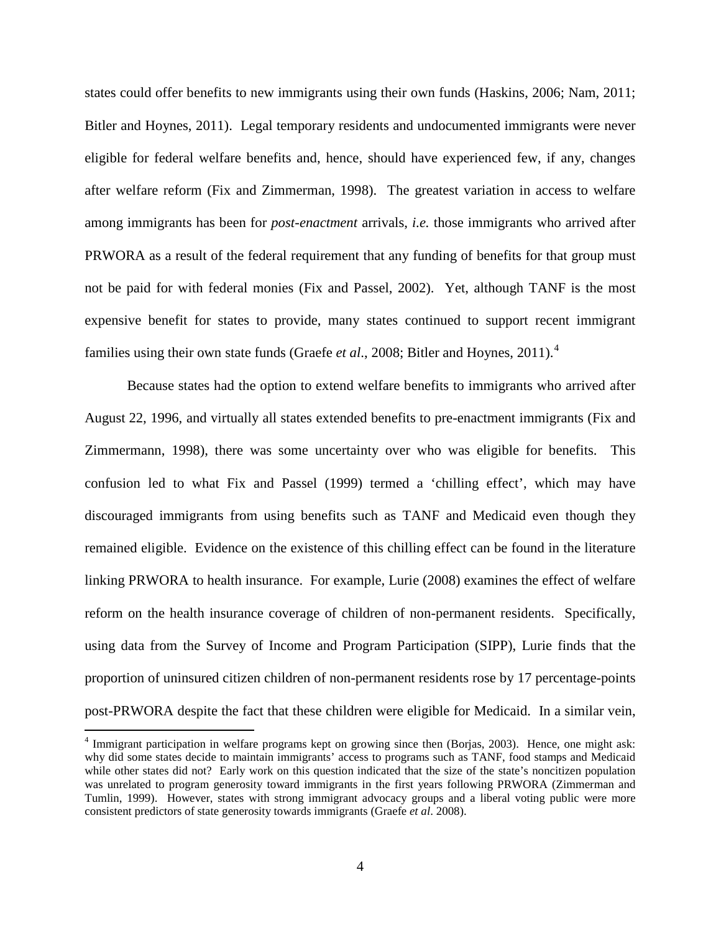states could offer benefits to new immigrants using their own funds (Haskins, 2006; Nam, 2011; Bitler and Hoynes, 2011). Legal temporary residents and undocumented immigrants were never eligible for federal welfare benefits and, hence, should have experienced few, if any, changes after welfare reform (Fix and Zimmerman, 1998). The greatest variation in access to welfare among immigrants has been for *post-enactment* arrivals, *i.e.* those immigrants who arrived after PRWORA as a result of the federal requirement that any funding of benefits for that group must not be paid for with federal monies (Fix and Passel, 2002). Yet, although TANF is the most expensive benefit for states to provide, many states continued to support recent immigrant families using their own state funds (Graefe *et al.*, 2008; Bitler and Hoynes, 2011).<sup>[4](#page-5-0)</sup>

Because states had the option to extend welfare benefits to immigrants who arrived after August 22, 1996, and virtually all states extended benefits to pre-enactment immigrants (Fix and Zimmermann, 1998), there was some uncertainty over who was eligible for benefits. This confusion led to what Fix and Passel (1999) termed a 'chilling effect', which may have discouraged immigrants from using benefits such as TANF and Medicaid even though they remained eligible. Evidence on the existence of this chilling effect can be found in the literature linking PRWORA to health insurance. For example, Lurie (2008) examines the effect of welfare reform on the health insurance coverage of children of non-permanent residents. Specifically, using data from the Survey of Income and Program Participation (SIPP), Lurie finds that the proportion of uninsured citizen children of non-permanent residents rose by 17 percentage-points post-PRWORA despite the fact that these children were eligible for Medicaid. In a similar vein,

<span id="page-6-0"></span> <sup>4</sup> Immigrant participation in welfare programs kept on growing since then (Borjas, 2003). Hence, one might ask: why did some states decide to maintain immigrants' access to programs such as TANF, food stamps and Medicaid while other states did not? Early work on this question indicated that the size of the state's noncitizen population was unrelated to program generosity toward immigrants in the first years following PRWORA (Zimmerman and Tumlin, 1999). However, states with strong immigrant advocacy groups and a liberal voting public were more consistent predictors of state generosity towards immigrants (Graefe *et al*. 2008).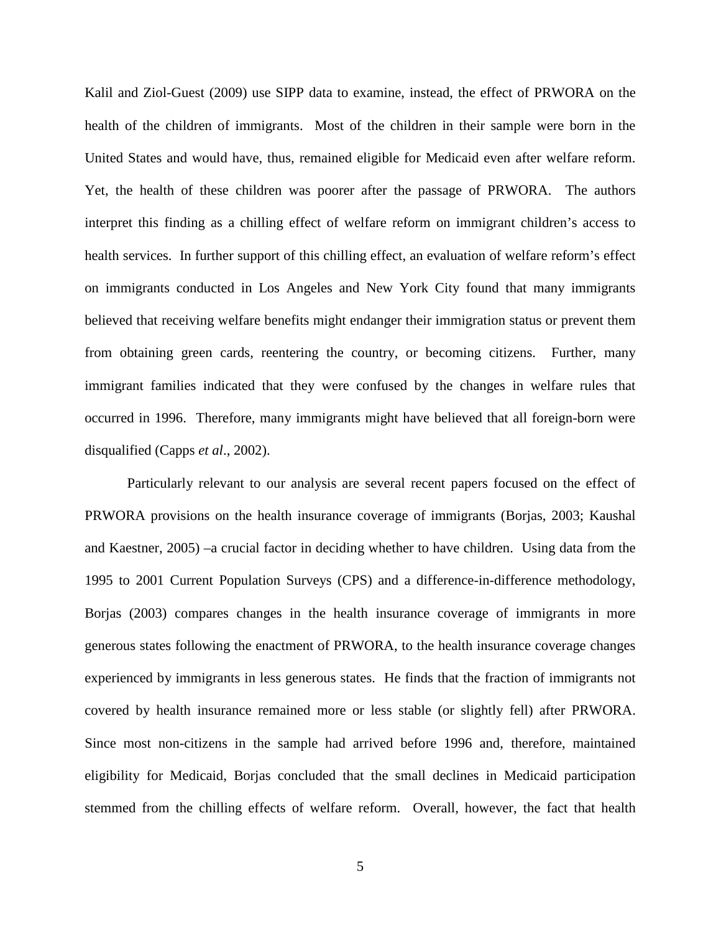Kalil and Ziol-Guest (2009) use SIPP data to examine, instead, the effect of PRWORA on the health of the children of immigrants. Most of the children in their sample were born in the United States and would have, thus, remained eligible for Medicaid even after welfare reform. Yet, the health of these children was poorer after the passage of PRWORA. The authors interpret this finding as a chilling effect of welfare reform on immigrant children's access to health services. In further support of this chilling effect, an evaluation of welfare reform's effect on immigrants conducted in Los Angeles and New York City found that many immigrants believed that receiving welfare benefits might endanger their immigration status or prevent them from obtaining green cards, reentering the country, or becoming citizens. Further, many immigrant families indicated that they were confused by the changes in welfare rules that occurred in 1996. Therefore, many immigrants might have believed that all foreign-born were disqualified (Capps *et al*., 2002).

Particularly relevant to our analysis are several recent papers focused on the effect of PRWORA provisions on the health insurance coverage of immigrants (Borjas, 2003; Kaushal and Kaestner, 2005) –a crucial factor in deciding whether to have children. Using data from the 1995 to 2001 Current Population Surveys (CPS) and a difference-in-difference methodology, Borjas (2003) compares changes in the health insurance coverage of immigrants in more generous states following the enactment of PRWORA, to the health insurance coverage changes experienced by immigrants in less generous states. He finds that the fraction of immigrants not covered by health insurance remained more or less stable (or slightly fell) after PRWORA. Since most non-citizens in the sample had arrived before 1996 and, therefore, maintained eligibility for Medicaid, Borjas concluded that the small declines in Medicaid participation stemmed from the chilling effects of welfare reform. Overall, however, the fact that health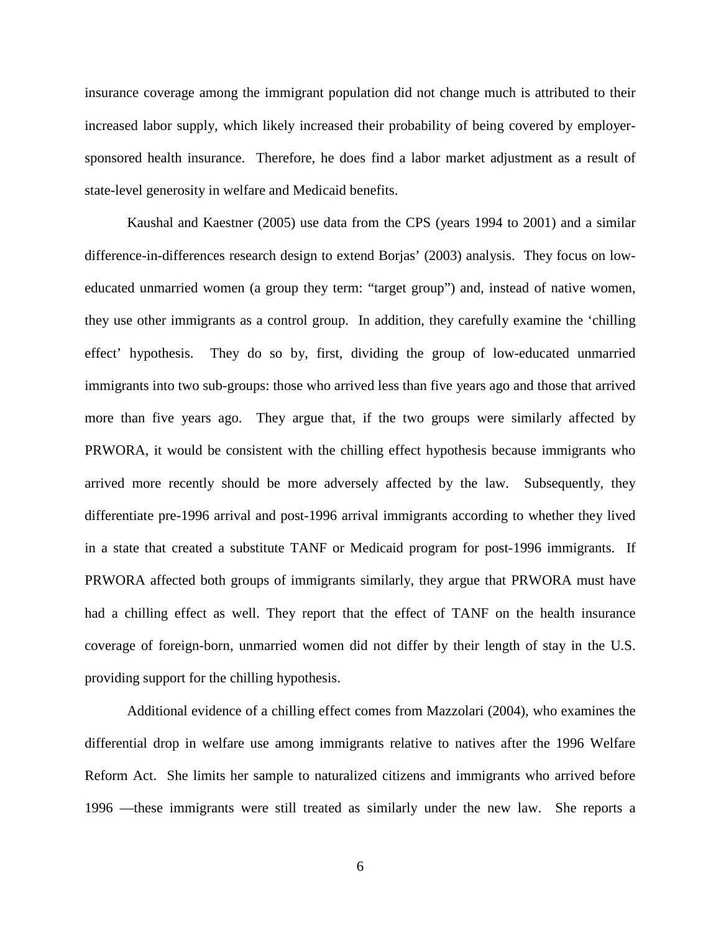insurance coverage among the immigrant population did not change much is attributed to their increased labor supply, which likely increased their probability of being covered by employersponsored health insurance. Therefore, he does find a labor market adjustment as a result of state-level generosity in welfare and Medicaid benefits.

Kaushal and Kaestner (2005) use data from the CPS (years 1994 to 2001) and a similar difference-in-differences research design to extend Borjas' (2003) analysis. They focus on loweducated unmarried women (a group they term: "target group") and, instead of native women, they use other immigrants as a control group. In addition, they carefully examine the 'chilling effect' hypothesis. They do so by, first, dividing the group of low-educated unmarried immigrants into two sub-groups: those who arrived less than five years ago and those that arrived more than five years ago. They argue that, if the two groups were similarly affected by PRWORA, it would be consistent with the chilling effect hypothesis because immigrants who arrived more recently should be more adversely affected by the law. Subsequently, they differentiate pre-1996 arrival and post-1996 arrival immigrants according to whether they lived in a state that created a substitute TANF or Medicaid program for post-1996 immigrants. If PRWORA affected both groups of immigrants similarly, they argue that PRWORA must have had a chilling effect as well. They report that the effect of TANF on the health insurance coverage of foreign-born, unmarried women did not differ by their length of stay in the U.S. providing support for the chilling hypothesis.

Additional evidence of a chilling effect comes from Mazzolari (2004), who examines the differential drop in welfare use among immigrants relative to natives after the 1996 Welfare Reform Act. She limits her sample to naturalized citizens and immigrants who arrived before 1996 —these immigrants were still treated as similarly under the new law. She reports a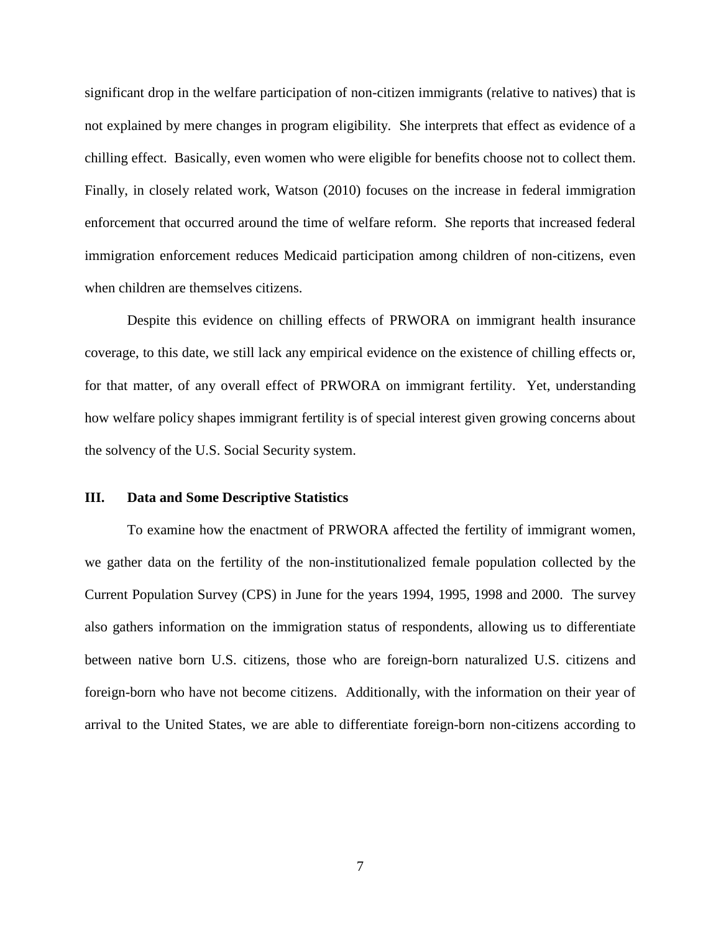significant drop in the welfare participation of non-citizen immigrants (relative to natives) that is not explained by mere changes in program eligibility. She interprets that effect as evidence of a chilling effect. Basically, even women who were eligible for benefits choose not to collect them. Finally, in closely related work, Watson (2010) focuses on the increase in federal immigration enforcement that occurred around the time of welfare reform. She reports that increased federal immigration enforcement reduces Medicaid participation among children of non-citizens, even when children are themselves citizens.

Despite this evidence on chilling effects of PRWORA on immigrant health insurance coverage, to this date, we still lack any empirical evidence on the existence of chilling effects or, for that matter, of any overall effect of PRWORA on immigrant fertility. Yet, understanding how welfare policy shapes immigrant fertility is of special interest given growing concerns about the solvency of the U.S. Social Security system.

#### **III. Data and Some Descriptive Statistics**

To examine how the enactment of PRWORA affected the fertility of immigrant women, we gather data on the fertility of the non-institutionalized female population collected by the Current Population Survey (CPS) in June for the years 1994, 1995, 1998 and 2000. The survey also gathers information on the immigration status of respondents, allowing us to differentiate between native born U.S. citizens, those who are foreign-born naturalized U.S. citizens and foreign-born who have not become citizens. Additionally, with the information on their year of arrival to the United States, we are able to differentiate foreign-born non-citizens according to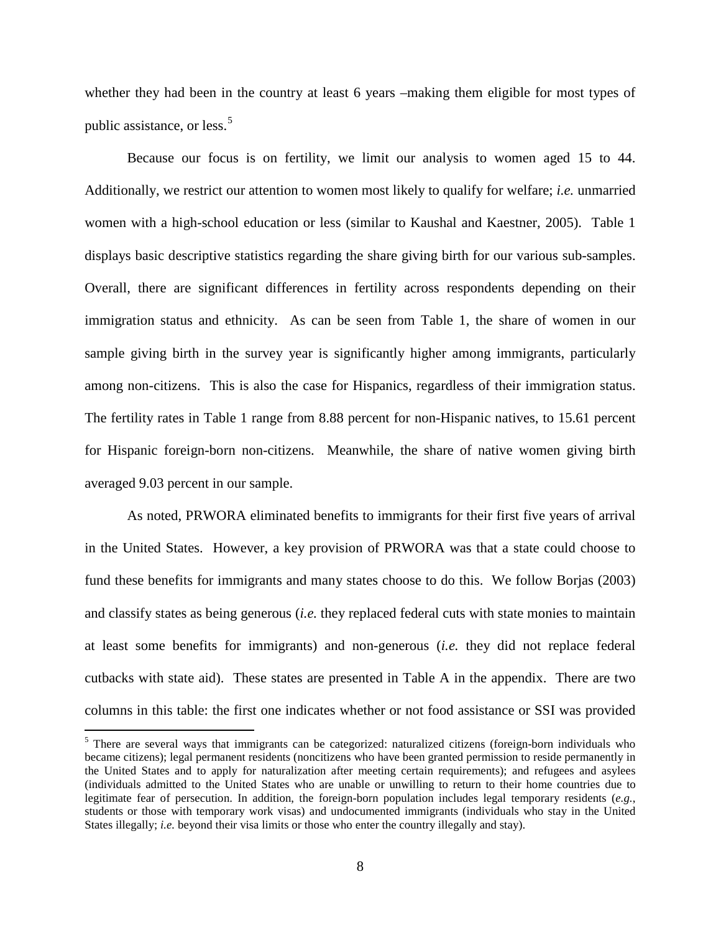whether they had been in the country at least 6 years –making them eligible for most types of public assistance, or less.<sup>[5](#page-6-0)</sup>

Because our focus is on fertility, we limit our analysis to women aged 15 to 44. Additionally, we restrict our attention to women most likely to qualify for welfare; *i.e.* unmarried women with a high-school education or less (similar to Kaushal and Kaestner, 2005). Table 1 displays basic descriptive statistics regarding the share giving birth for our various sub-samples. Overall, there are significant differences in fertility across respondents depending on their immigration status and ethnicity. As can be seen from Table 1, the share of women in our sample giving birth in the survey year is significantly higher among immigrants, particularly among non-citizens. This is also the case for Hispanics, regardless of their immigration status. The fertility rates in Table 1 range from 8.88 percent for non-Hispanic natives, to 15.61 percent for Hispanic foreign-born non-citizens. Meanwhile, the share of native women giving birth averaged 9.03 percent in our sample.

As noted, PRWORA eliminated benefits to immigrants for their first five years of arrival in the United States. However, a key provision of PRWORA was that a state could choose to fund these benefits for immigrants and many states choose to do this. We follow Borjas (2003) and classify states as being generous (*i.e.* they replaced federal cuts with state monies to maintain at least some benefits for immigrants) and non-generous (*i.e.* they did not replace federal cutbacks with state aid). These states are presented in Table A in the appendix. There are two columns in this table: the first one indicates whether or not food assistance or SSI was provided

<span id="page-10-0"></span><sup>&</sup>lt;sup>5</sup> There are several ways that immigrants can be categorized: naturalized citizens (foreign-born individuals who became citizens); legal permanent residents (noncitizens who have been granted permission to reside permanently in the United States and to apply for naturalization after meeting certain requirements); and refugees and asylees (individuals admitted to the United States who are unable or unwilling to return to their home countries due to legitimate fear of persecution. In addition, the foreign-born population includes legal temporary residents (*e.g.*, students or those with temporary work visas) and undocumented immigrants (individuals who stay in the United States illegally; *i.e.* beyond their visa limits or those who enter the country illegally and stay).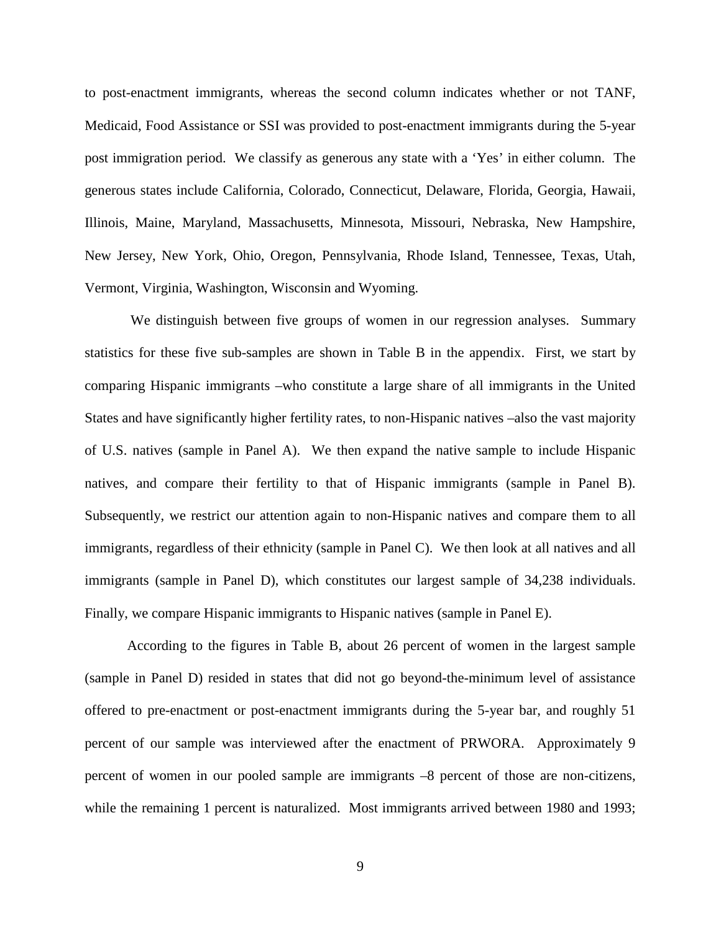to post-enactment immigrants, whereas the second column indicates whether or not TANF, Medicaid, Food Assistance or SSI was provided to post-enactment immigrants during the 5-year post immigration period. We classify as generous any state with a 'Yes' in either column. The generous states include California, Colorado, Connecticut, Delaware, Florida, Georgia, Hawaii, Illinois, Maine, Maryland, Massachusetts, Minnesota, Missouri, Nebraska, New Hampshire, New Jersey, New York, Ohio, Oregon, Pennsylvania, Rhode Island, Tennessee, Texas, Utah, Vermont, Virginia, Washington, Wisconsin and Wyoming.

We distinguish between five groups of women in our regression analyses. Summary statistics for these five sub-samples are shown in Table B in the appendix. First, we start by comparing Hispanic immigrants –who constitute a large share of all immigrants in the United States and have significantly higher fertility rates, to non-Hispanic natives –also the vast majority of U.S. natives (sample in Panel A). We then expand the native sample to include Hispanic natives, and compare their fertility to that of Hispanic immigrants (sample in Panel B). Subsequently, we restrict our attention again to non-Hispanic natives and compare them to all immigrants, regardless of their ethnicity (sample in Panel C). We then look at all natives and all immigrants (sample in Panel D), which constitutes our largest sample of 34,238 individuals. Finally, we compare Hispanic immigrants to Hispanic natives (sample in Panel E).

According to the figures in Table B, about 26 percent of women in the largest sample (sample in Panel D) resided in states that did not go beyond-the-minimum level of assistance offered to pre-enactment or post-enactment immigrants during the 5-year bar, and roughly 51 percent of our sample was interviewed after the enactment of PRWORA. Approximately 9 percent of women in our pooled sample are immigrants –8 percent of those are non-citizens, while the remaining 1 percent is naturalized. Most immigrants arrived between 1980 and 1993;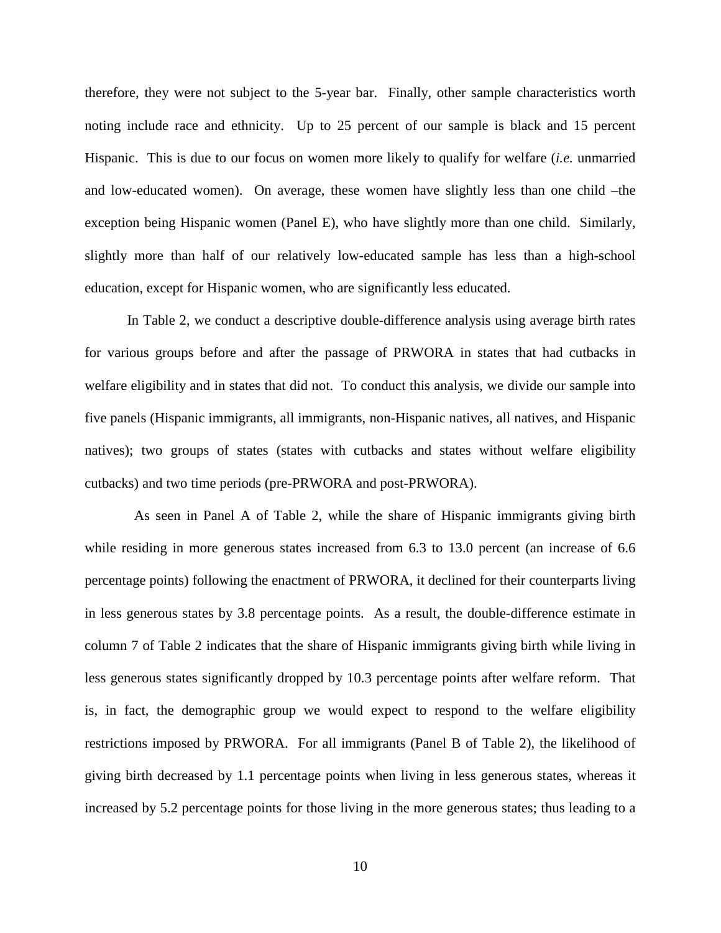therefore, they were not subject to the 5-year bar. Finally, other sample characteristics worth noting include race and ethnicity. Up to 25 percent of our sample is black and 15 percent Hispanic. This is due to our focus on women more likely to qualify for welfare (*i.e.* unmarried and low-educated women). On average, these women have slightly less than one child –the exception being Hispanic women (Panel E), who have slightly more than one child. Similarly, slightly more than half of our relatively low-educated sample has less than a high-school education, except for Hispanic women, who are significantly less educated.

In Table 2, we conduct a descriptive double-difference analysis using average birth rates for various groups before and after the passage of PRWORA in states that had cutbacks in welfare eligibility and in states that did not. To conduct this analysis, we divide our sample into five panels (Hispanic immigrants, all immigrants, non-Hispanic natives, all natives, and Hispanic natives); two groups of states (states with cutbacks and states without welfare eligibility cutbacks) and two time periods (pre-PRWORA and post-PRWORA).

 As seen in Panel A of Table 2, while the share of Hispanic immigrants giving birth while residing in more generous states increased from 6.3 to 13.0 percent (an increase of 6.6 percentage points) following the enactment of PRWORA, it declined for their counterparts living in less generous states by 3.8 percentage points. As a result, the double-difference estimate in column 7 of Table 2 indicates that the share of Hispanic immigrants giving birth while living in less generous states significantly dropped by 10.3 percentage points after welfare reform. That is, in fact, the demographic group we would expect to respond to the welfare eligibility restrictions imposed by PRWORA. For all immigrants (Panel B of Table 2), the likelihood of giving birth decreased by 1.1 percentage points when living in less generous states, whereas it increased by 5.2 percentage points for those living in the more generous states; thus leading to a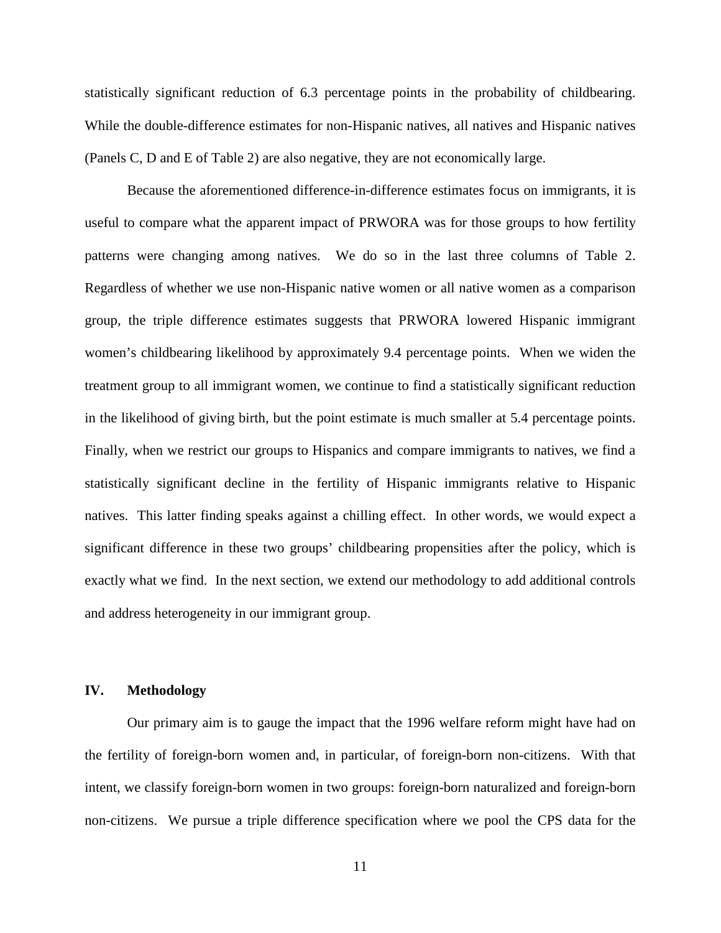statistically significant reduction of 6.3 percentage points in the probability of childbearing. While the double-difference estimates for non-Hispanic natives, all natives and Hispanic natives (Panels C, D and E of Table 2) are also negative, they are not economically large.

Because the aforementioned difference-in-difference estimates focus on immigrants, it is useful to compare what the apparent impact of PRWORA was for those groups to how fertility patterns were changing among natives. We do so in the last three columns of Table 2. Regardless of whether we use non-Hispanic native women or all native women as a comparison group, the triple difference estimates suggests that PRWORA lowered Hispanic immigrant women's childbearing likelihood by approximately 9.4 percentage points. When we widen the treatment group to all immigrant women, we continue to find a statistically significant reduction in the likelihood of giving birth, but the point estimate is much smaller at 5.4 percentage points. Finally, when we restrict our groups to Hispanics and compare immigrants to natives, we find a statistically significant decline in the fertility of Hispanic immigrants relative to Hispanic natives. This latter finding speaks against a chilling effect. In other words, we would expect a significant difference in these two groups' childbearing propensities after the policy, which is exactly what we find. In the next section, we extend our methodology to add additional controls and address heterogeneity in our immigrant group.

### **IV. Methodology**

Our primary aim is to gauge the impact that the 1996 welfare reform might have had on the fertility of foreign-born women and, in particular, of foreign-born non-citizens. With that intent, we classify foreign-born women in two groups: foreign-born naturalized and foreign-born non-citizens. We pursue a triple difference specification where we pool the CPS data for the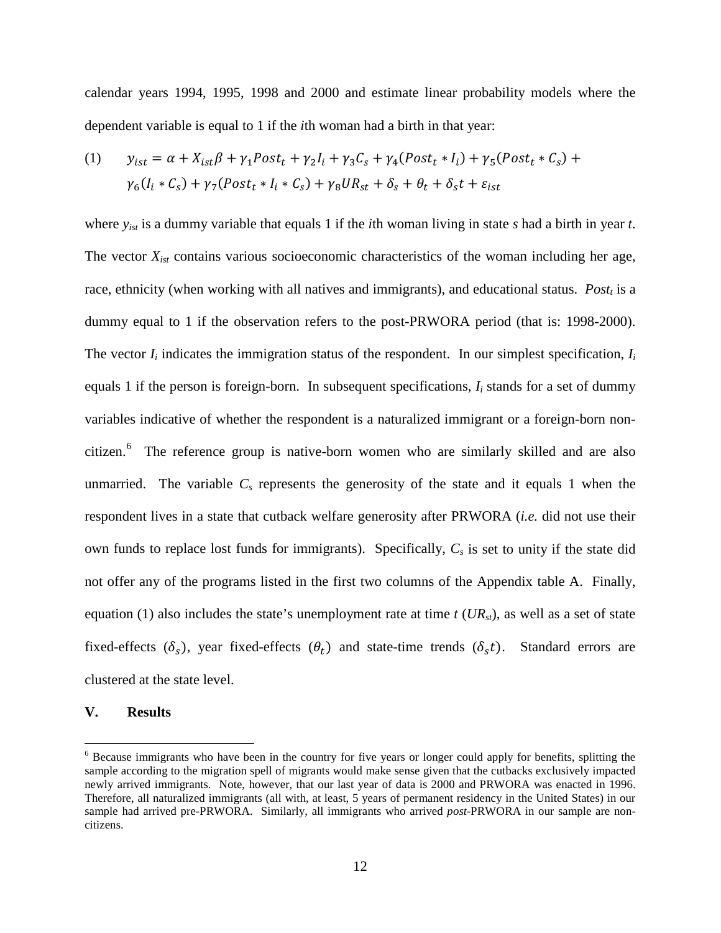calendar years 1994, 1995, 1998 and 2000 and estimate linear probability models where the dependent variable is equal to 1 if the *i*th woman had a birth in that year:

(1) 
$$
y_{ist} = \alpha + X_{ist}\beta + \gamma_1 Post_t + \gamma_2 I_i + \gamma_3 C_s + \gamma_4 (Post_t * I_i) + \gamma_5 (Post_t * C_s) +
$$

$$
\gamma_6 (I_i * C_s) + \gamma_7 (Post_t * I_i * C_s) + \gamma_8 UR_{st} + \delta_s + \theta_t + \delta_s t + \varepsilon_{ist}
$$

where *yist* is a dummy variable that equals 1 if the *i*th woman living in state *s* had a birth in year *t*. The vector *Xist* contains various socioeconomic characteristics of the woman including her age, race, ethnicity (when working with all natives and immigrants), and educational status.  $Post<sub>t</sub>$  is a dummy equal to 1 if the observation refers to the post-PRWORA period (that is: 1998-2000). The vector  $I_i$  indicates the immigration status of the respondent. In our simplest specification,  $I_i$ equals 1 if the person is foreign-born. In subsequent specifications,  $I_i$  stands for a set of dummy variables indicative of whether the respondent is a naturalized immigrant or a foreign-born non-citizen.<sup>[6](#page-10-0)</sup> The reference group is native-born women who are similarly skilled and are also unmarried. The variable  $C_s$  represents the generosity of the state and it equals 1 when the respondent lives in a state that cutback welfare generosity after PRWORA (*i.e.* did not use their own funds to replace lost funds for immigrants). Specifically, *Cs* is set to unity if the state did not offer any of the programs listed in the first two columns of the Appendix table A. Finally, equation (1) also includes the state's unemployment rate at time  $t$  ( $UR_{st}$ ), as well as a set of state fixed-effects  $(\delta_s)$ , year fixed-effects  $(\theta_t)$  and state-time trends  $(\delta_s t)$ . Standard errors are clustered at the state level.

#### **V. Results**

<span id="page-14-0"></span><sup>&</sup>lt;sup>6</sup> Because immigrants who have been in the country for five years or longer could apply for benefits, splitting the sample according to the migration spell of migrants would make sense given that the cutbacks exclusively impacted newly arrived immigrants. Note, however, that our last year of data is 2000 and PRWORA was enacted in 1996. Therefore, all naturalized immigrants (all with, at least,  $5$  years of permanent residency in the United States) in our sample had arrived pre-PRWORA. Similarly, all immigrants who arrived *post*-PRWORA in our sample are noncitizens.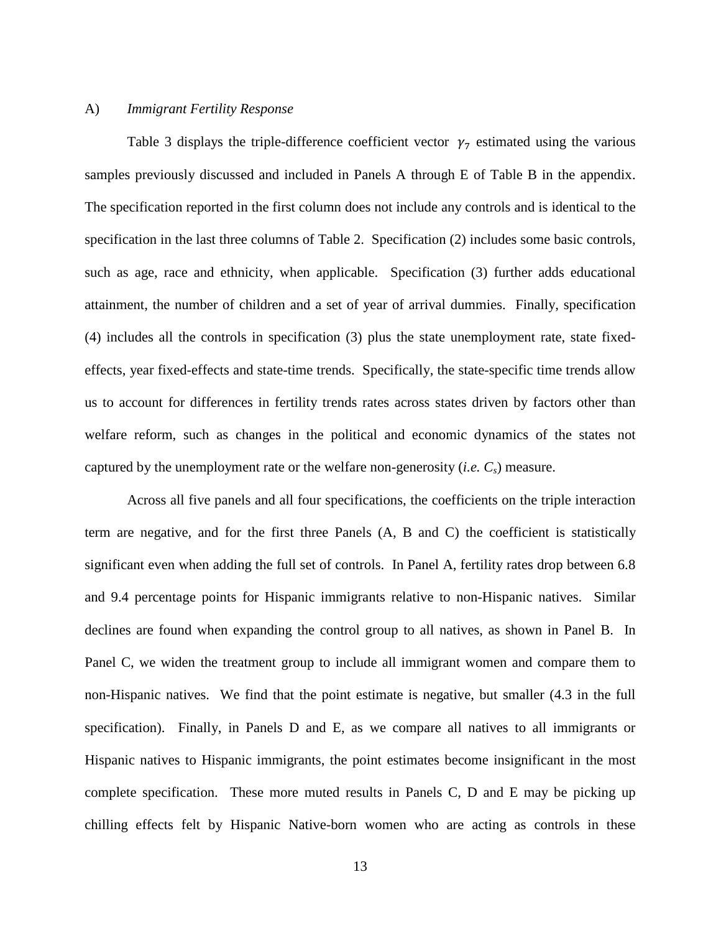### A) *Immigrant Fertility Response*

Table 3 displays the triple-difference coefficient vector  $\gamma_7$  estimated using the various samples previously discussed and included in Panels A through E of Table B in the appendix. The specification reported in the first column does not include any controls and is identical to the specification in the last three columns of Table 2. Specification (2) includes some basic controls, such as age, race and ethnicity, when applicable. Specification (3) further adds educational attainment, the number of children and a set of year of arrival dummies. Finally, specification (4) includes all the controls in specification (3) plus the state unemployment rate, state fixedeffects, year fixed-effects and state-time trends. Specifically, the state-specific time trends allow us to account for differences in fertility trends rates across states driven by factors other than welfare reform, such as changes in the political and economic dynamics of the states not captured by the unemployment rate or the welfare non-generosity (*i.e.*  $C_s$ ) measure.

Across all five panels and all four specifications, the coefficients on the triple interaction term are negative, and for the first three Panels (A, B and C) the coefficient is statistically significant even when adding the full set of controls. In Panel A, fertility rates drop between 6.8 and 9.4 percentage points for Hispanic immigrants relative to non-Hispanic natives. Similar declines are found when expanding the control group to all natives, as shown in Panel B. In Panel C, we widen the treatment group to include all immigrant women and compare them to non-Hispanic natives. We find that the point estimate is negative, but smaller (4.3 in the full specification). Finally, in Panels D and E, as we compare all natives to all immigrants or Hispanic natives to Hispanic immigrants, the point estimates become insignificant in the most complete specification. These more muted results in Panels C, D and E may be picking up chilling effects felt by Hispanic Native-born women who are acting as controls in these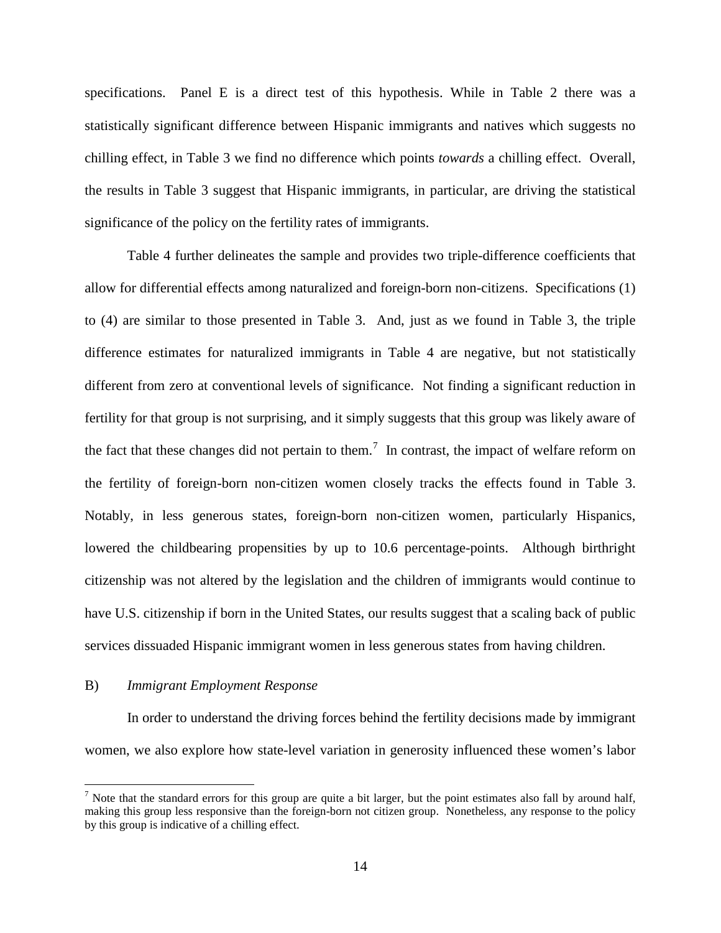specifications. Panel E is a direct test of this hypothesis. While in Table 2 there was a statistically significant difference between Hispanic immigrants and natives which suggests no chilling effect, in Table 3 we find no difference which points *towards* a chilling effect. Overall, the results in Table 3 suggest that Hispanic immigrants, in particular, are driving the statistical significance of the policy on the fertility rates of immigrants.

Table 4 further delineates the sample and provides two triple-difference coefficients that allow for differential effects among naturalized and foreign-born non-citizens. Specifications (1) to (4) are similar to those presented in Table 3. And, just as we found in Table 3, the triple difference estimates for naturalized immigrants in Table 4 are negative, but not statistically different from zero at conventional levels of significance. Not finding a significant reduction in fertility for that group is not surprising, and it simply suggests that this group was likely aware of the fact that these changes did not pertain to them.<sup>[7](#page-14-0)</sup> In contrast, the impact of welfare reform on the fertility of foreign-born non-citizen women closely tracks the effects found in Table 3. Notably, in less generous states, foreign-born non-citizen women, particularly Hispanics, lowered the childbearing propensities by up to 10.6 percentage-points. Although birthright citizenship was not altered by the legislation and the children of immigrants would continue to have U.S. citizenship if born in the United States, our results suggest that a scaling back of public services dissuaded Hispanic immigrant women in less generous states from having children.

### B) *Immigrant Employment Response*

In order to understand the driving forces behind the fertility decisions made by immigrant women, we also explore how state-level variation in generosity influenced these women's labor

<span id="page-16-0"></span><sup>&</sup>lt;sup>7</sup> Note that the standard errors for this group are quite a bit larger, but the point estimates also fall by around half, making this group less responsive than the foreign-born not citizen group. Nonetheless, any response to the policy by this group is indicative of a chilling effect.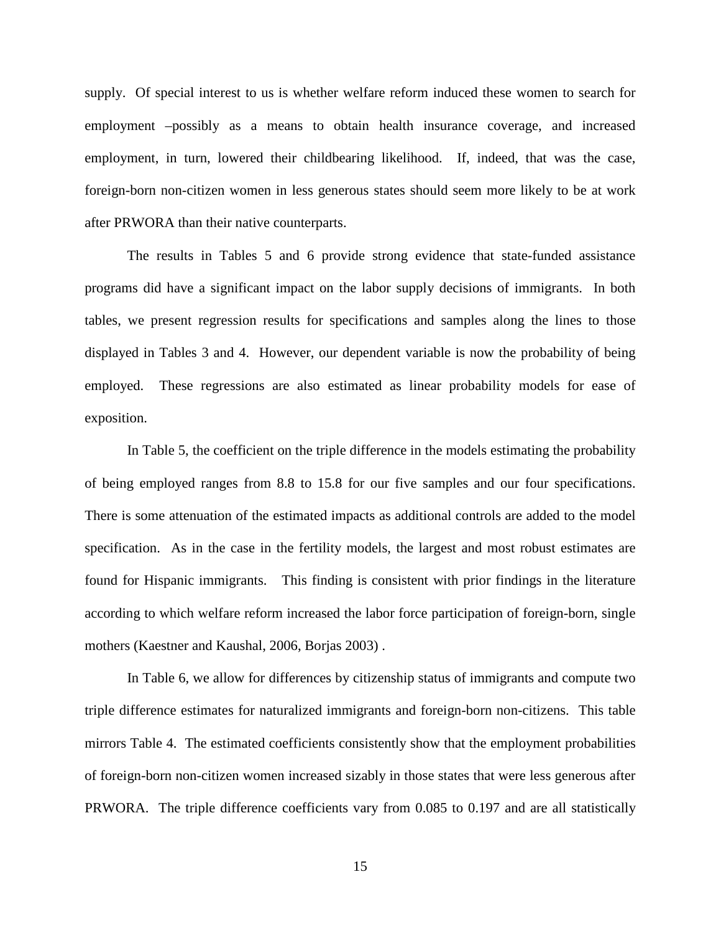supply. Of special interest to us is whether welfare reform induced these women to search for employment –possibly as a means to obtain health insurance coverage, and increased employment, in turn, lowered their childbearing likelihood. If, indeed, that was the case, foreign-born non-citizen women in less generous states should seem more likely to be at work after PRWORA than their native counterparts.

The results in Tables 5 and 6 provide strong evidence that state-funded assistance programs did have a significant impact on the labor supply decisions of immigrants. In both tables, we present regression results for specifications and samples along the lines to those displayed in Tables 3 and 4. However, our dependent variable is now the probability of being employed. These regressions are also estimated as linear probability models for ease of exposition.

In Table 5, the coefficient on the triple difference in the models estimating the probability of being employed ranges from 8.8 to 15.8 for our five samples and our four specifications. There is some attenuation of the estimated impacts as additional controls are added to the model specification. As in the case in the fertility models, the largest and most robust estimates are found for Hispanic immigrants. This finding is consistent with prior findings in the literature according to which welfare reform increased the labor force participation of foreign-born, single mothers (Kaestner and Kaushal, 2006, Borjas 2003) .

In Table 6, we allow for differences by citizenship status of immigrants and compute two triple difference estimates for naturalized immigrants and foreign-born non-citizens. This table mirrors Table 4. The estimated coefficients consistently show that the employment probabilities of foreign-born non-citizen women increased sizably in those states that were less generous after PRWORA. The triple difference coefficients vary from 0.085 to 0.197 and are all statistically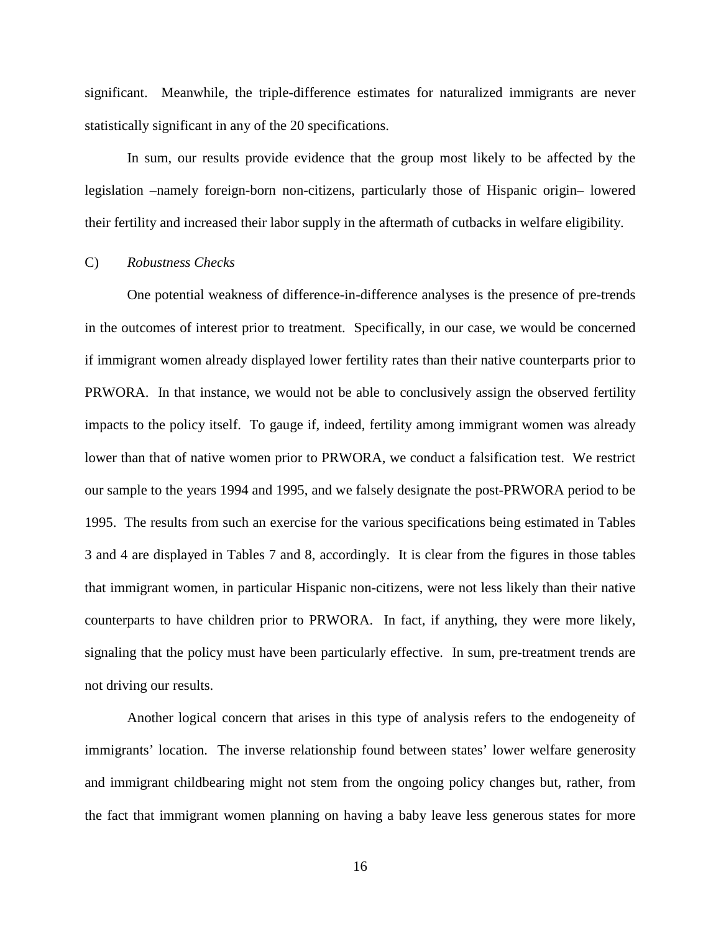significant. Meanwhile, the triple-difference estimates for naturalized immigrants are never statistically significant in any of the 20 specifications.

In sum, our results provide evidence that the group most likely to be affected by the legislation –namely foreign-born non-citizens, particularly those of Hispanic origin– lowered their fertility and increased their labor supply in the aftermath of cutbacks in welfare eligibility.

#### C) *Robustness Checks*

One potential weakness of difference-in-difference analyses is the presence of pre-trends in the outcomes of interest prior to treatment. Specifically, in our case, we would be concerned if immigrant women already displayed lower fertility rates than their native counterparts prior to PRWORA. In that instance, we would not be able to conclusively assign the observed fertility impacts to the policy itself. To gauge if, indeed, fertility among immigrant women was already lower than that of native women prior to PRWORA, we conduct a falsification test. We restrict our sample to the years 1994 and 1995, and we falsely designate the post-PRWORA period to be 1995. The results from such an exercise for the various specifications being estimated in Tables 3 and 4 are displayed in Tables 7 and 8, accordingly. It is clear from the figures in those tables that immigrant women, in particular Hispanic non-citizens, were not less likely than their native counterparts to have children prior to PRWORA. In fact, if anything, they were more likely, signaling that the policy must have been particularly effective. In sum, pre-treatment trends are not driving our results.

Another logical concern that arises in this type of analysis refers to the endogeneity of immigrants' location. The inverse relationship found between states' lower welfare generosity and immigrant childbearing might not stem from the ongoing policy changes but, rather, from the fact that immigrant women planning on having a baby leave less generous states for more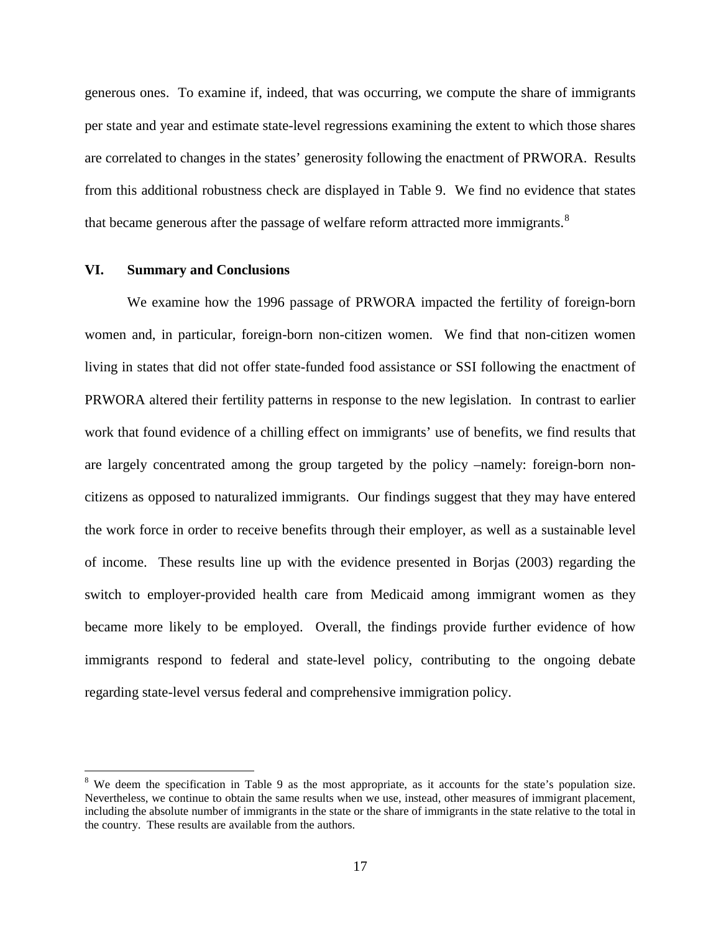generous ones. To examine if, indeed, that was occurring, we compute the share of immigrants per state and year and estimate state-level regressions examining the extent to which those shares are correlated to changes in the states' generosity following the enactment of PRWORA. Results from this additional robustness check are displayed in Table 9. We find no evidence that states that became generous after the passage of welfare reform attracted more immigrants.<sup>[8](#page-16-0)</sup>

#### **VI. Summary and Conclusions**

We examine how the 1996 passage of PRWORA impacted the fertility of foreign-born women and, in particular, foreign-born non-citizen women. We find that non-citizen women living in states that did not offer state-funded food assistance or SSI following the enactment of PRWORA altered their fertility patterns in response to the new legislation. In contrast to earlier work that found evidence of a chilling effect on immigrants' use of benefits, we find results that are largely concentrated among the group targeted by the policy –namely: foreign-born noncitizens as opposed to naturalized immigrants. Our findings suggest that they may have entered the work force in order to receive benefits through their employer, as well as a sustainable level of income. These results line up with the evidence presented in Borjas (2003) regarding the switch to employer-provided health care from Medicaid among immigrant women as they became more likely to be employed. Overall, the findings provide further evidence of how immigrants respond to federal and state-level policy, contributing to the ongoing debate regarding state-level versus federal and comprehensive immigration policy.

<sup>&</sup>lt;sup>8</sup> We deem the specification in Table 9 as the most appropriate, as it accounts for the state's population size. Nevertheless, we continue to obtain the same results when we use, instead, other measures of immigrant placement, including the absolute number of immigrants in the state or the share of immigrants in the state relative to the total in the country. These results are available from the authors.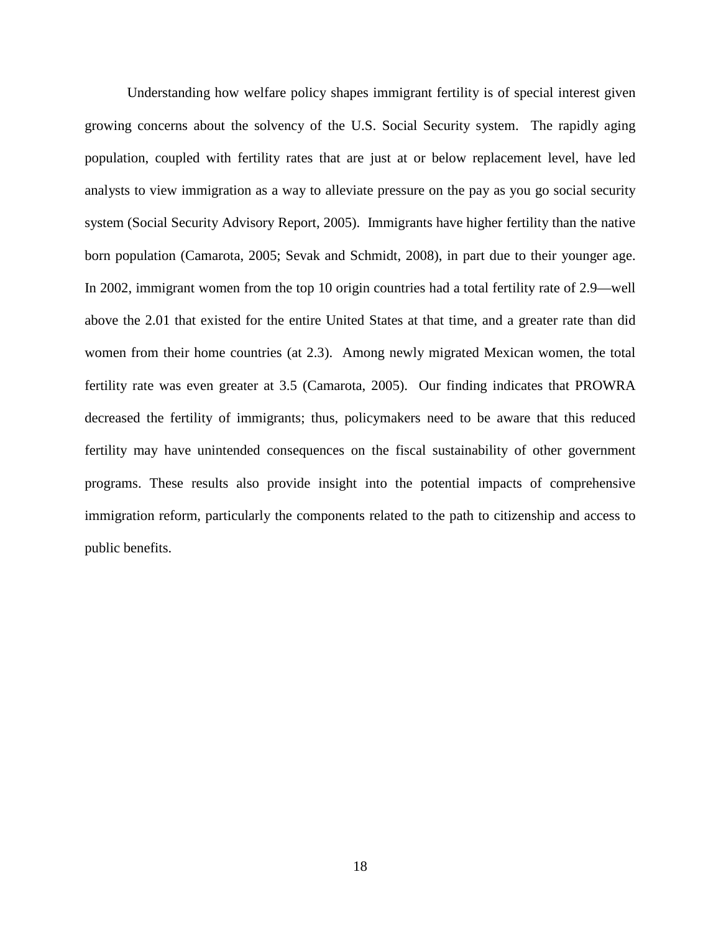Understanding how welfare policy shapes immigrant fertility is of special interest given growing concerns about the solvency of the U.S. Social Security system. The rapidly aging population, coupled with fertility rates that are just at or below replacement level, have led analysts to view immigration as a way to alleviate pressure on the pay as you go social security system (Social Security Advisory Report, 2005). Immigrants have higher fertility than the native born population (Camarota, 2005; Sevak and Schmidt, 2008), in part due to their younger age. In 2002, immigrant women from the top 10 origin countries had a total fertility rate of 2.9—well above the 2.01 that existed for the entire United States at that time, and a greater rate than did women from their home countries (at 2.3). Among newly migrated Mexican women, the total fertility rate was even greater at 3.5 (Camarota, 2005). Our finding indicates that PROWRA decreased the fertility of immigrants; thus, policymakers need to be aware that this reduced fertility may have unintended consequences on the fiscal sustainability of other government programs. These results also provide insight into the potential impacts of comprehensive immigration reform, particularly the components related to the path to citizenship and access to public benefits.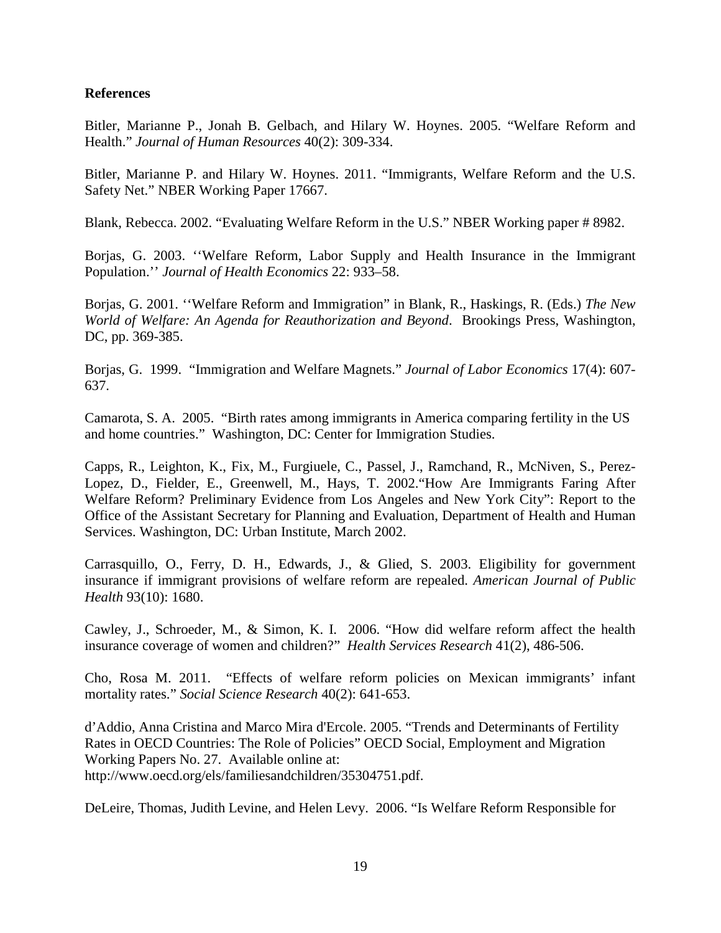### **References**

Bitler, Marianne P., Jonah B. Gelbach, and Hilary W. Hoynes. 2005. "Welfare Reform and Health." *Journal of Human Resources* 40(2): 309-334.

Bitler, Marianne P. and Hilary W. Hoynes. 2011. "Immigrants, Welfare Reform and the U.S. Safety Net." NBER Working Paper 17667.

Blank, Rebecca. 2002. "Evaluating Welfare Reform in the U.S." NBER Working paper # 8982.

Borjas, G. 2003. ''Welfare Reform, Labor Supply and Health Insurance in the Immigrant Population.'' *Journal of Health Economics* 22: 933–58.

Borjas, G. 2001. ''Welfare Reform and Immigration" in Blank, R., Haskings, R. (Eds.) *The New World of Welfare: An Agenda for Reauthorization and Beyond*. Brookings Press, Washington, DC, pp. 369-385.

Borjas, G. 1999. "Immigration and Welfare Magnets." *Journal of Labor Economics* 17(4): 607- 637.

Camarota, S. A. 2005. "Birth rates among immigrants in America comparing fertility in the US and home countries." Washington, DC: Center for Immigration Studies.

Capps, R., Leighton, K., Fix, M., Furgiuele, C., Passel, J., Ramchand, R., McNiven, S., Perez-Lopez, D., Fielder, E., Greenwell, M., Hays, T. 2002."How Are Immigrants Faring After Welfare Reform? Preliminary Evidence from Los Angeles and New York City": Report to the Office of the Assistant Secretary for Planning and Evaluation, Department of Health and Human Services. Washington, DC: Urban Institute, March 2002.

Carrasquillo, O., Ferry, D. H., Edwards, J., & Glied, S. 2003. Eligibility for government insurance if immigrant provisions of welfare reform are repealed. *American Journal of Public Health* 93(10): 1680.

Cawley, J., Schroeder, M., & Simon, K. I. 2006. "How did welfare reform affect the health insurance coverage of women and children?" *Health Services Research* 41(2), 486-506.

Cho, Rosa M. 2011. "Effects of welfare reform policies on Mexican immigrants' infant mortality rates." *Social Science Research* 40(2): 641-653.

d'Addio, Anna Cristina and Marco Mira d'Ercole. 2005. "Trends and Determinants of Fertility Rates in OECD Countries: The Role of Policies" OECD Social, Employment and Migration Working Papers No. 27. Available online at: [http://www.oecd.org/els/familiesandchildren/35304751.pdf.](http://www.oecd.org/els/familiesandchildren/35304751.pdf)

DeLeire, Thomas, Judith Levine, and Helen Levy. 2006. "Is Welfare Reform Responsible for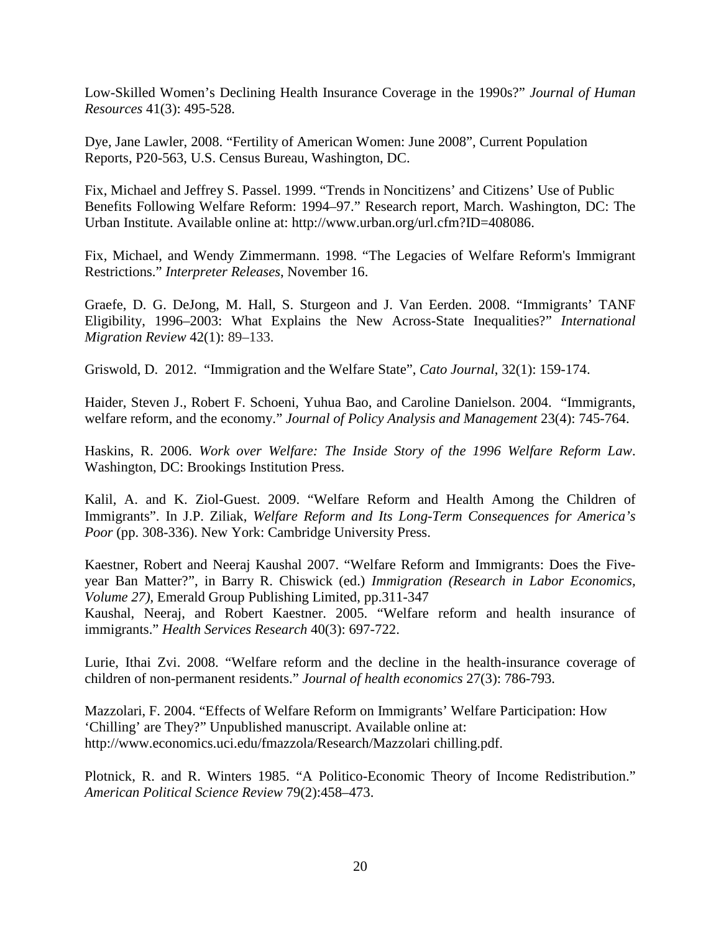Low-Skilled Women's Declining Health Insurance Coverage in the 1990s?" *Journal of Human Resources* 41(3): 495-528.

Dye, Jane Lawler, 2008. "Fertility of American Women: June 2008", Current Population Reports, P20-563, U.S. Census Bureau, Washington, DC.

Fix, Michael and Jeffrey S. Passel. 1999. "Trends in Noncitizens' and Citizens' Use of Public Benefits Following Welfare Reform: 1994–97." Research report, March. Washington, DC: The Urban Institute. Available online at: [http://www.urban.org/url.cfm?ID=408086.](http://www.urban.org/url.cfm?ID=408086)

Fix, Michael, and Wendy Zimmermann. 1998. "The Legacies of Welfare Reform's Immigrant Restrictions." *Interpreter Releases*, November 16.

Graefe, D. G. DeJong, M. Hall, S. Sturgeon and J. Van Eerden. 2008. "Immigrants' TANF Eligibility, 1996–2003: What Explains the New Across-State Inequalities?" *International Migration Review* 42(1): 89–133.

Griswold, D. 2012. "Immigration and the Welfare State", *Cato Journal*, 32(1): 159-174.

Haider, Steven J., Robert F. Schoeni, Yuhua Bao, and Caroline Danielson. 2004. "Immigrants, welfare reform, and the economy." *Journal of Policy Analysis and Management* 23(4): 745-764.

Haskins, R. 2006. *Work over Welfare: The Inside Story of the 1996 Welfare Reform Law*. Washington, DC: Brookings Institution Press.

Kalil, A. and K. Ziol-Guest. 2009. "Welfare Reform and Health Among the Children of Immigrants". In J.P. Ziliak, *Welfare Reform and Its Long-Term Consequences for America's Poor* (pp. 308-336). New York: Cambridge University Press.

Kaestner, Robert and Neeraj Kaushal 2007. "Welfare Reform and Immigrants: Does the Fiveyear Ban Matter?", in Barry R. Chiswick (ed.) *Immigration (Research in Labor Economics, Volume 27)*, Emerald Group Publishing Limited, pp.311-347

Kaushal, Neeraj, and Robert Kaestner. 2005. "Welfare reform and health insurance of immigrants." *Health Services Research* 40(3): 697-722.

Lurie, Ithai Zvi. 2008. "Welfare reform and the decline in the health-insurance coverage of children of non-permanent residents." *Journal of health economics* 27(3): 786-793.

Mazzolari, F. 2004. "Effects of Welfare Reform on Immigrants' Welfare Participation: How 'Chilling' are They?" Unpublished manuscript. Available online at: http://www.economics.uci.edu/fmazzola/Research/Mazzolari chilling.pdf.

Plotnick, R. and R. Winters 1985. "A Politico-Economic Theory of Income Redistribution." *American Political Science Review* 79(2):458–473.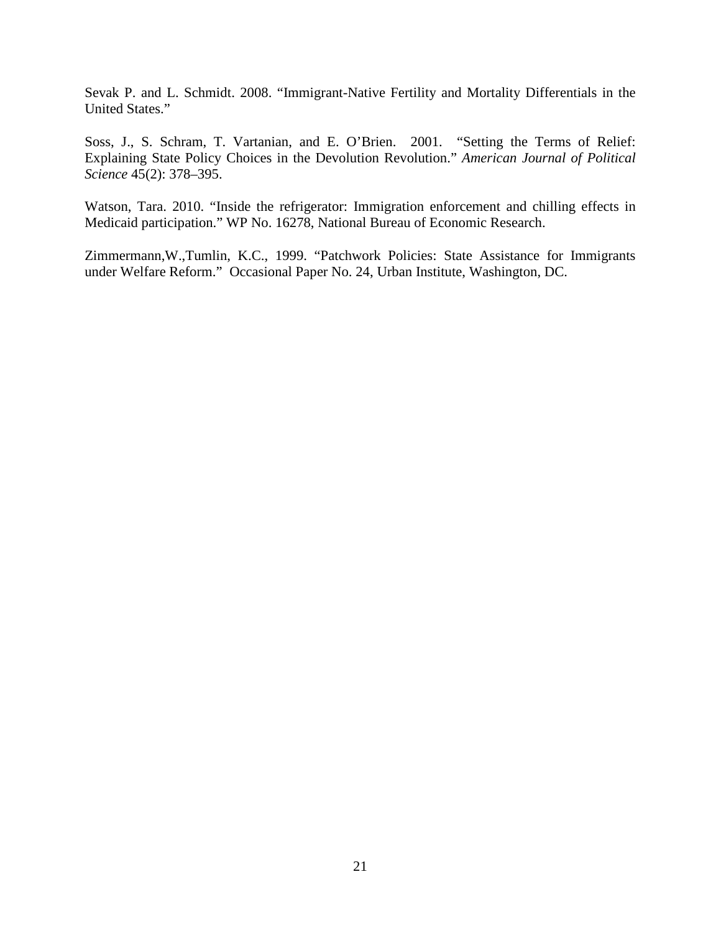Sevak P. and L. Schmidt. 2008. "Immigrant-Native Fertility and Mortality Differentials in the United States."

Soss, J., S. Schram, T. Vartanian, and E. O'Brien. 2001. "Setting the Terms of Relief: Explaining State Policy Choices in the Devolution Revolution." *American Journal of Political Science* 45(2): 378–395.

Watson, Tara. 2010. "Inside the refrigerator: Immigration enforcement and chilling effects in Medicaid participation." WP No. 16278, National Bureau of Economic Research.

Zimmermann,W.,Tumlin, K.C., 1999. "Patchwork Policies: State Assistance for Immigrants under Welfare Reform." Occasional Paper No. 24, Urban Institute, Washington, DC.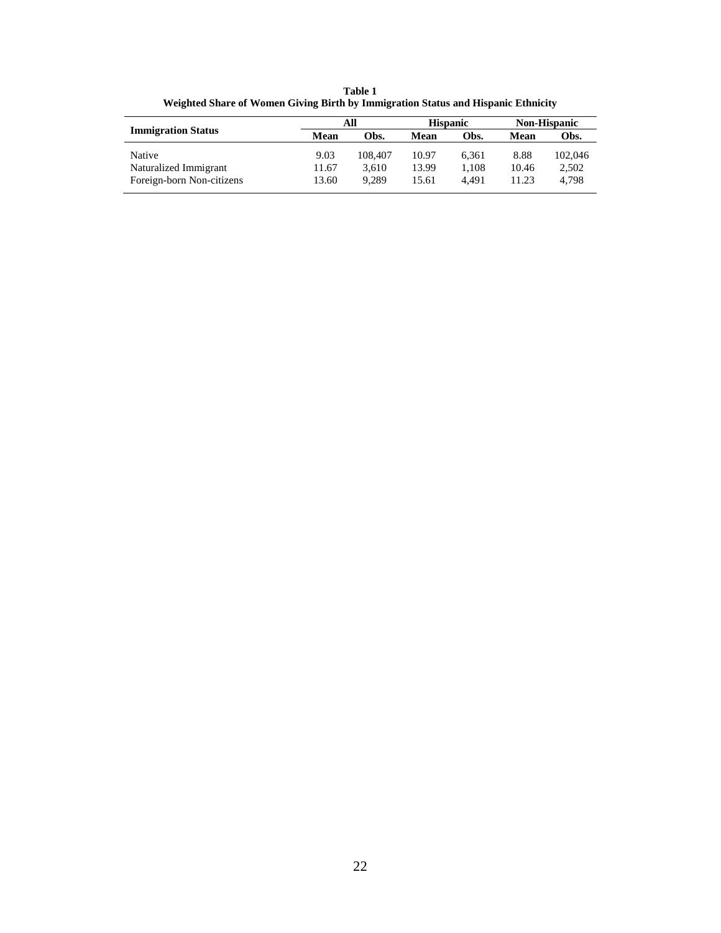**Table 1 Weighted Share of Women Giving Birth by Immigration Status and Hispanic Ethnicity**

|                           |       | All     |       | <b>Hispanic</b> |       | <b>Non-Hispanic</b> |  |
|---------------------------|-------|---------|-------|-----------------|-------|---------------------|--|
| <b>Immigration Status</b> | Mean  | Obs.    | Mean  | Obs.            | Mean  | Obs.                |  |
| <b>Native</b>             | 9.03  | 108,407 | 10.97 | 6.361           | 8.88  | 102,046             |  |
| Naturalized Immigrant     | 11.67 | 3.610   | 13.99 | 1.108           | 10.46 | 2,502               |  |
| Foreign-born Non-citizens | 13.60 | 9.289   | 15.61 | 4.491           | 11.23 | 4.798               |  |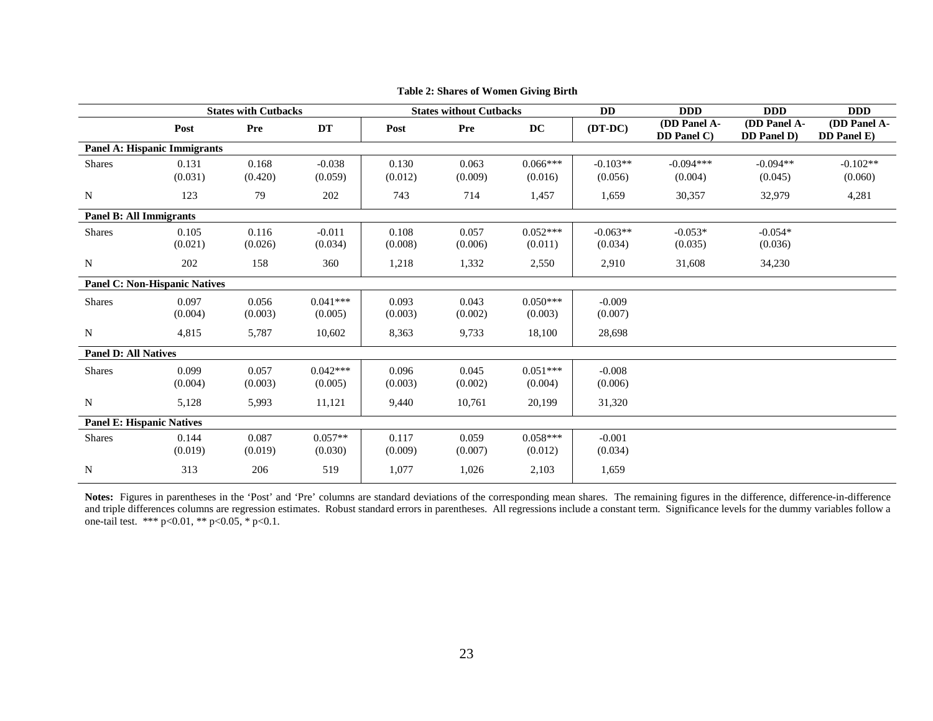|                                      |         | <b>States with Cutbacks</b><br><b>States without Cutbacks</b> |            | <b>DD</b> | <b>DDD</b> | <b>DDD</b>             | <b>DDD</b> |                             |                                            |                             |
|--------------------------------------|---------|---------------------------------------------------------------|------------|-----------|------------|------------------------|------------|-----------------------------|--------------------------------------------|-----------------------------|
|                                      | Post    | Pre                                                           | DT         | Post      | Pre        | $\mathbf{D}\mathbf{C}$ | $(DT-DC)$  | (DD Panel A-<br>DD Panel C) | (DD Panel A-<br><b>DD</b> Panel <b>D</b> ) | (DD Panel A-<br>DD Panel E) |
| <b>Panel A: Hispanic Immigrants</b>  |         |                                                               |            |           |            |                        |            |                             |                                            |                             |
| <b>Shares</b>                        | 0.131   | 0.168                                                         | $-0.038$   | 0.130     | 0.063      | $0.066***$             | $-0.103**$ | $-0.094***$                 | $-0.094**$                                 | $-0.102**$                  |
|                                      | (0.031) | (0.420)                                                       | (0.059)    | (0.012)   | (0.009)    | (0.016)                | (0.056)    | (0.004)                     | (0.045)                                    | (0.060)                     |
| N                                    | 123     | 79                                                            | 202        | 743       | 714        | 1,457                  | 1,659      | 30,357                      | 32,979                                     | 4,281                       |
| <b>Panel B: All Immigrants</b>       |         |                                                               |            |           |            |                        |            |                             |                                            |                             |
| <b>Shares</b>                        | 0.105   | 0.116                                                         | $-0.011$   | 0.108     | 0.057      | $0.052***$             | $-0.063**$ | $-0.053*$                   | $-0.054*$                                  |                             |
|                                      | (0.021) | (0.026)                                                       | (0.034)    | (0.008)   | (0.006)    | (0.011)                | (0.034)    | (0.035)                     | (0.036)                                    |                             |
| N                                    | 202     | 158                                                           | 360        | 1,218     | 1,332      | 2,550                  | 2,910      | 31,608                      | 34,230                                     |                             |
| <b>Panel C: Non-Hispanic Natives</b> |         |                                                               |            |           |            |                        |            |                             |                                            |                             |
| <b>Shares</b>                        | 0.097   | 0.056                                                         | $0.041***$ | 0.093     | 0.043      | $0.050***$             | $-0.009$   |                             |                                            |                             |
|                                      | (0.004) | (0.003)                                                       | (0.005)    | (0.003)   | (0.002)    | (0.003)                | (0.007)    |                             |                                            |                             |
| N                                    | 4,815   | 5,787                                                         | 10,602     | 8,363     | 9,733      | 18,100                 | 28,698     |                             |                                            |                             |
| <b>Panel D: All Natives</b>          |         |                                                               |            |           |            |                        |            |                             |                                            |                             |
| <b>Shares</b>                        | 0.099   | 0.057                                                         | $0.042***$ | 0.096     | 0.045      | $0.051***$             | $-0.008$   |                             |                                            |                             |
|                                      | (0.004) | (0.003)                                                       | (0.005)    | (0.003)   | (0.002)    | (0.004)                | (0.006)    |                             |                                            |                             |
| N                                    | 5,128   | 5,993                                                         | 11,121     | 9,440     | 10,761     | 20,199                 | 31,320     |                             |                                            |                             |
| <b>Panel E: Hispanic Natives</b>     |         |                                                               |            |           |            |                        |            |                             |                                            |                             |
| <b>Shares</b>                        | 0.144   | 0.087                                                         | $0.057**$  | 0.117     | 0.059      | $0.058***$             | $-0.001$   |                             |                                            |                             |
|                                      | (0.019) | (0.019)                                                       | (0.030)    | (0.009)   | (0.007)    | (0.012)                | (0.034)    |                             |                                            |                             |
| N                                    | 313     | 206                                                           | 519        | 1,077     | 1,026      | 2,103                  | 1,659      |                             |                                            |                             |

**Table 2: Shares of Women Giving Birth**

**Notes:** Figures in parentheses in the 'Post' and 'Pre' columns are standard deviations of the corresponding mean shares. The remaining figures in the difference, difference-in-difference and triple differences columns are regression estimates. Robust standard errors in parentheses. All regressions include a constant term. Significance levels for the dummy variables follow a one-tail test. \*\*\* p<0.01, \*\* p<0.05, \* p<0.1.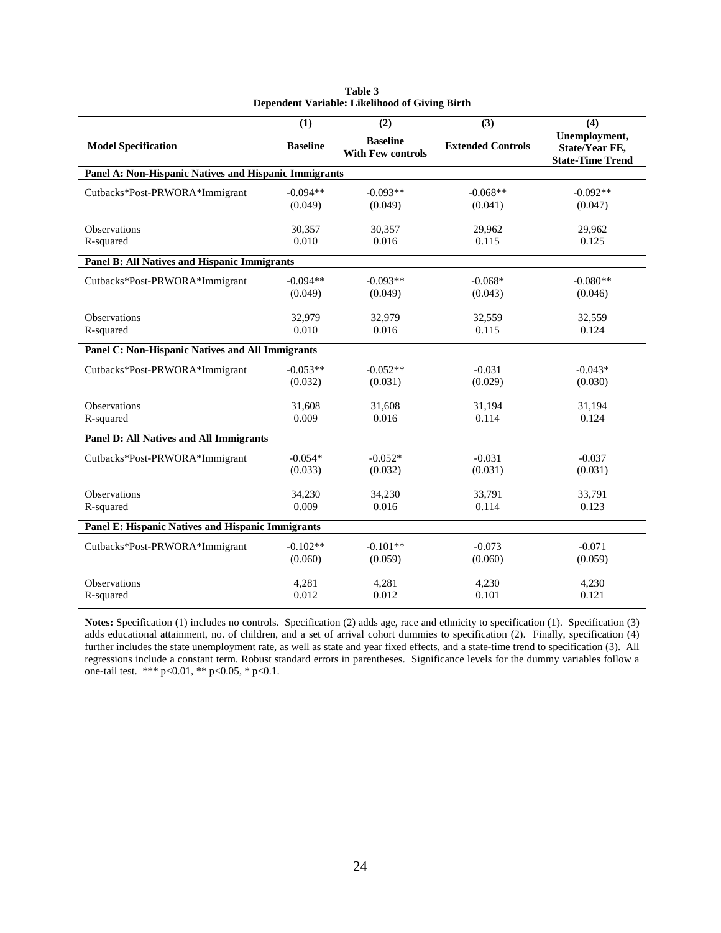|                                                       | (1)             | (2)                                         | (3)                      | (4)                                                        |
|-------------------------------------------------------|-----------------|---------------------------------------------|--------------------------|------------------------------------------------------------|
| <b>Model Specification</b>                            | <b>Baseline</b> | <b>Baseline</b><br><b>With Few controls</b> | <b>Extended Controls</b> | Unemployment,<br>State/Year FE,<br><b>State-Time Trend</b> |
| Panel A: Non-Hispanic Natives and Hispanic Immigrants |                 |                                             |                          |                                                            |
| Cutbacks*Post-PRWORA*Immigrant                        | $-0.094**$      | $-0.093**$                                  | $-0.068**$               | $-0.092**$                                                 |
|                                                       | (0.049)         | (0.049)                                     | (0.041)                  | (0.047)                                                    |
| <b>Observations</b>                                   | 30,357          | 30,357                                      | 29,962                   | 29,962                                                     |
| R-squared                                             | 0.010           | 0.016                                       | 0.115                    | 0.125                                                      |
| Panel B: All Natives and Hispanic Immigrants          |                 |                                             |                          |                                                            |
| Cutbacks*Post-PRWORA*Immigrant                        | $-0.094**$      | $-0.093**$                                  | $-0.068*$                | $-0.080**$                                                 |
|                                                       | (0.049)         | (0.049)                                     | (0.043)                  | (0.046)                                                    |
| <b>Observations</b>                                   | 32.979          | 32,979                                      | 32,559                   | 32,559                                                     |
| R-squared                                             | 0.010           | 0.016                                       | 0.115                    | 0.124                                                      |
| Panel C: Non-Hispanic Natives and All Immigrants      |                 |                                             |                          |                                                            |
| Cutbacks*Post-PRWORA*Immigrant                        | $-0.053**$      | $-0.052**$                                  | $-0.031$                 | $-0.043*$                                                  |
|                                                       | (0.032)         | (0.031)                                     | (0.029)                  | (0.030)                                                    |
| <b>Observations</b>                                   | 31.608          | 31.608                                      | 31.194                   | 31,194                                                     |
| R-squared                                             | 0.009           | 0.016                                       | 0.114                    | 0.124                                                      |
| <b>Panel D: All Natives and All Immigrants</b>        |                 |                                             |                          |                                                            |
| Cutbacks*Post-PRWORA*Immigrant                        | $-0.054*$       | $-0.052*$                                   | $-0.031$                 | $-0.037$                                                   |
|                                                       | (0.033)         | (0.032)                                     | (0.031)                  | (0.031)                                                    |
| <b>Observations</b>                                   | 34,230          | 34,230                                      | 33,791                   | 33,791                                                     |
| R-squared                                             | 0.009           | 0.016                                       | 0.114                    | 0.123                                                      |
| Panel E: Hispanic Natives and Hispanic Immigrants     |                 |                                             |                          |                                                            |
| Cutbacks*Post-PRWORA*Immigrant                        | $-0.102**$      | $-0.101**$                                  | $-0.073$                 | $-0.071$                                                   |
|                                                       | (0.060)         | (0.059)                                     | (0.060)                  | (0.059)                                                    |
| Observations                                          | 4,281           | 4,281                                       | 4,230                    | 4,230                                                      |
| R-squared                                             | 0.012           | 0.012                                       | 0.101                    | 0.121                                                      |

| Table 3                                        |  |
|------------------------------------------------|--|
| Dependent Variable: Likelihood of Giving Birth |  |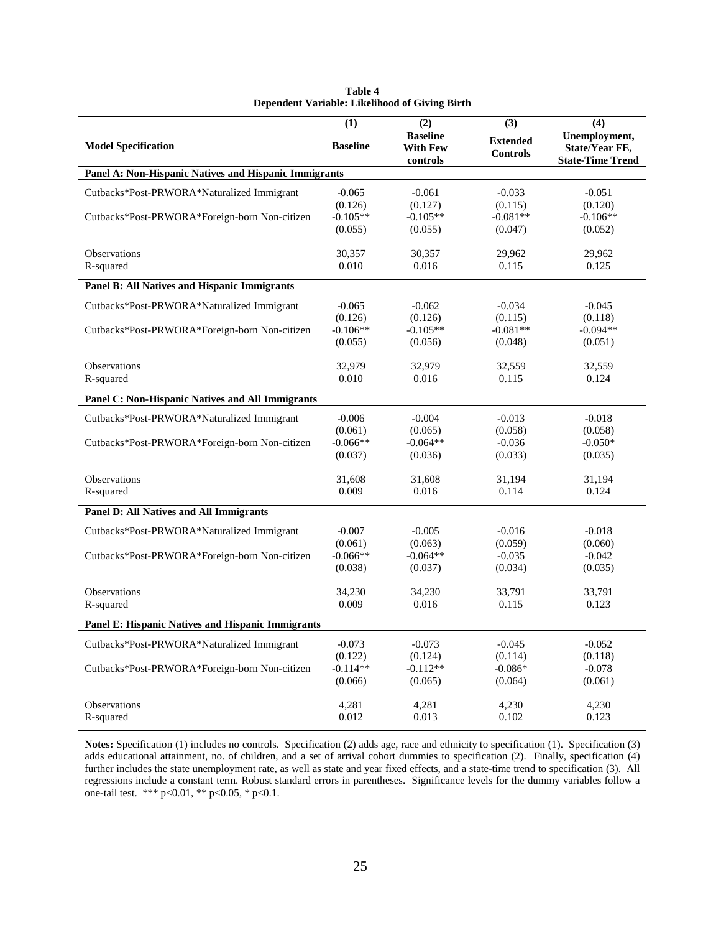|                                                         | (1)                              | (2)                                            | (3)                                | (4)                                                        |
|---------------------------------------------------------|----------------------------------|------------------------------------------------|------------------------------------|------------------------------------------------------------|
| <b>Model Specification</b>                              | <b>Baseline</b>                  | <b>Baseline</b><br><b>With Few</b><br>controls | <b>Extended</b><br><b>Controls</b> | Unemployment,<br>State/Year FE,<br><b>State-Time Trend</b> |
| Panel A: Non-Hispanic Natives and Hispanic Immigrants   |                                  |                                                |                                    |                                                            |
| Cutbacks*Post-PRWORA*Naturalized Immigrant              | $-0.065$                         | $-0.061$                                       | $-0.033$                           | $-0.051$                                                   |
| Cutbacks*Post-PRWORA*Foreign-born Non-citizen           | (0.126)<br>$-0.105**$<br>(0.055) | (0.127)<br>$-0.105**$<br>(0.055)               | (0.115)<br>$-0.081**$<br>(0.047)   | (0.120)<br>$-0.106**$<br>(0.052)                           |
| Observations<br>R-squared                               | 30,357<br>0.010                  | 30,357<br>0.016                                | 29,962<br>0.115                    | 29,962<br>0.125                                            |
|                                                         |                                  |                                                |                                    |                                                            |
| <b>Panel B: All Natives and Hispanic Immigrants</b>     |                                  |                                                |                                    |                                                            |
| Cutbacks*Post-PRWORA*Naturalized Immigrant              | $-0.065$                         | $-0.062$                                       | $-0.034$                           | $-0.045$                                                   |
| Cutbacks*Post-PRWORA*Foreign-born Non-citizen           | (0.126)<br>$-0.106**$            | (0.126)<br>$-0.105**$                          | (0.115)<br>$-0.081**$              | (0.118)<br>$-0.094**$                                      |
|                                                         | (0.055)                          | (0.056)                                        | (0.048)                            | (0.051)                                                    |
| Observations                                            | 32,979                           | 32,979                                         | 32,559                             | 32,559                                                     |
| R-squared                                               | 0.010                            | 0.016                                          | 0.115                              | 0.124                                                      |
| <b>Panel C: Non-Hispanic Natives and All Immigrants</b> |                                  |                                                |                                    |                                                            |
| Cutbacks*Post-PRWORA*Naturalized Immigrant              | $-0.006$                         | $-0.004$                                       | $-0.013$                           | $-0.018$                                                   |
|                                                         | (0.061)                          | (0.065)                                        | (0.058)                            | (0.058)                                                    |
| Cutbacks*Post-PRWORA*Foreign-born Non-citizen           | $-0.066**$<br>(0.037)            | $-0.064**$<br>(0.036)                          | $-0.036$<br>(0.033)                | $-0.050*$<br>(0.035)                                       |
|                                                         |                                  |                                                |                                    |                                                            |
| Observations                                            | 31,608                           | 31,608                                         | 31,194                             | 31,194                                                     |
| R-squared                                               | 0.009                            | 0.016                                          | 0.114                              | 0.124                                                      |
| <b>Panel D: All Natives and All Immigrants</b>          |                                  |                                                |                                    |                                                            |
| Cutbacks*Post-PRWORA*Naturalized Immigrant              | $-0.007$                         | $-0.005$                                       | $-0.016$                           | $-0.018$                                                   |
|                                                         | (0.061)                          | (0.063)                                        | (0.059)                            | (0.060)                                                    |
| Cutbacks*Post-PRWORA*Foreign-born Non-citizen           | $-0.066**$                       | $-0.064**$                                     | $-0.035$                           | $-0.042$                                                   |
|                                                         | (0.038)                          | (0.037)                                        | (0.034)                            | (0.035)                                                    |
| Observations                                            | 34,230                           | 34,230                                         | 33,791                             | 33,791                                                     |
| R-squared                                               | 0.009                            | 0.016                                          | 0.115                              | 0.123                                                      |
| Panel E: Hispanic Natives and Hispanic Immigrants       |                                  |                                                |                                    |                                                            |
| Cutbacks*Post-PRWORA*Naturalized Immigrant              | $-0.073$                         | $-0.073$                                       | $-0.045$                           | $-0.052$                                                   |
|                                                         | (0.122)                          | (0.124)                                        | (0.114)                            | (0.118)                                                    |
| Cutbacks*Post-PRWORA*Foreign-born Non-citizen           | $-0.114**$                       | $-0.112**$                                     | $-0.086*$                          | $-0.078$                                                   |
|                                                         | (0.066)                          | (0.065)                                        | (0.064)                            | (0.061)                                                    |
| <b>Observations</b>                                     | 4,281                            | 4.281                                          | 4,230                              | 4,230                                                      |
| R-squared                                               | 0.012                            | 0.013                                          | 0.102                              | 0.123                                                      |

| Table 4                                               |  |
|-------------------------------------------------------|--|
| <b>Dependent Variable: Likelihood of Giving Birth</b> |  |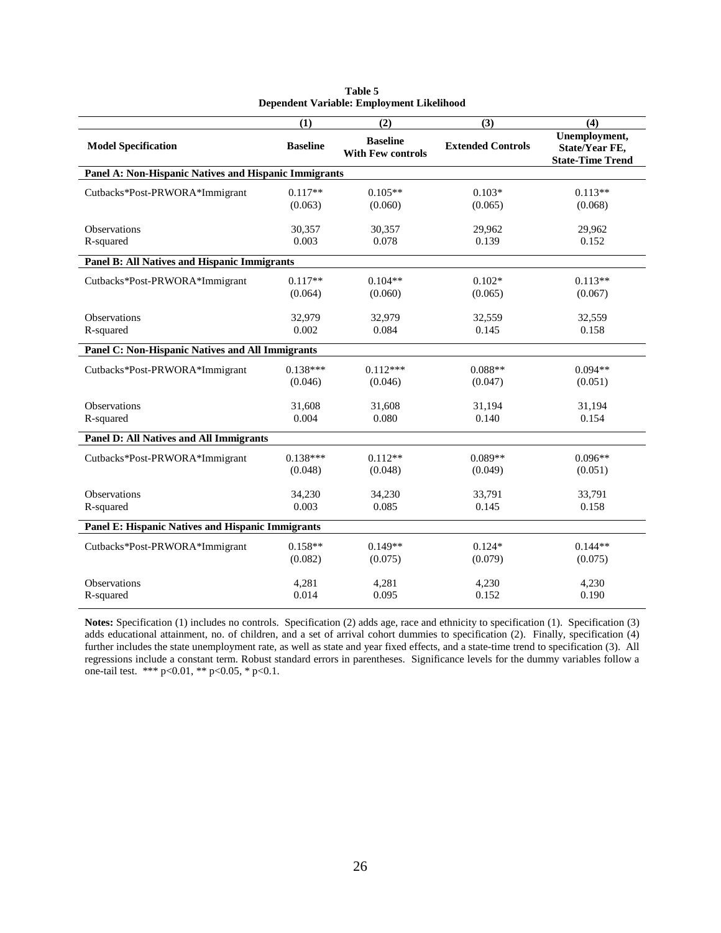|                                                       | (1)             | (2)                                         | (3)                      | (4)                                                        |
|-------------------------------------------------------|-----------------|---------------------------------------------|--------------------------|------------------------------------------------------------|
| <b>Model Specification</b>                            | <b>Baseline</b> | <b>Baseline</b><br><b>With Few controls</b> | <b>Extended Controls</b> | Unemployment,<br>State/Year FE,<br><b>State-Time Trend</b> |
| Panel A: Non-Hispanic Natives and Hispanic Immigrants |                 |                                             |                          |                                                            |
| Cutbacks*Post-PRWORA*Immigrant                        | $0.117**$       | $0.105**$                                   | $0.103*$                 | $0.113**$                                                  |
|                                                       | (0.063)         | (0.060)                                     | (0.065)                  | (0.068)                                                    |
| <b>Observations</b>                                   | 30,357          | 30,357                                      | 29,962                   | 29,962                                                     |
| R-squared                                             | 0.003           | 0.078                                       | 0.139                    | 0.152                                                      |
| Panel B: All Natives and Hispanic Immigrants          |                 |                                             |                          |                                                            |
| Cutbacks*Post-PRWORA*Immigrant                        | $0.117**$       | $0.104**$                                   | $0.102*$                 | $0.113**$                                                  |
|                                                       | (0.064)         | (0.060)                                     | (0.065)                  | (0.067)                                                    |
| <b>Observations</b>                                   | 32.979          | 32,979                                      | 32,559                   | 32,559                                                     |
| R-squared                                             | 0.002           | 0.084                                       | 0.145                    | 0.158                                                      |
| Panel C: Non-Hispanic Natives and All Immigrants      |                 |                                             |                          |                                                            |
| Cutbacks*Post-PRWORA*Immigrant                        | $0.138***$      | $0.112***$                                  | $0.088**$                | $0.094**$                                                  |
|                                                       | (0.046)         | (0.046)                                     | (0.047)                  | (0.051)                                                    |
| <b>Observations</b>                                   | 31.608          | 31.608                                      | 31.194                   | 31,194                                                     |
| R-squared                                             | 0.004           | 0.080                                       | 0.140                    | 0.154                                                      |
| <b>Panel D: All Natives and All Immigrants</b>        |                 |                                             |                          |                                                            |
| Cutbacks*Post-PRWORA*Immigrant                        | $0.138***$      | $0.112**$                                   | $0.089**$                | $0.096**$                                                  |
|                                                       | (0.048)         | (0.048)                                     | (0.049)                  | (0.051)                                                    |
| <b>Observations</b>                                   | 34,230          | 34,230                                      | 33,791                   | 33,791                                                     |
| R-squared                                             | 0.003           | 0.085                                       | 0.145                    | 0.158                                                      |
| Panel E: Hispanic Natives and Hispanic Immigrants     |                 |                                             |                          |                                                            |
| Cutbacks*Post-PRWORA*Immigrant                        | $0.158**$       | $0.149**$                                   | $0.124*$                 | $0.144**$                                                  |
|                                                       | (0.082)         | (0.075)                                     | (0.079)                  | (0.075)                                                    |
| <b>Observations</b>                                   | 4,281           | 4,281                                       | 4,230                    | 4,230                                                      |
| R-squared                                             | 0.014           | 0.095                                       | 0.152                    | 0.190                                                      |

| Table 5                                   |
|-------------------------------------------|
| Dependent Variable: Employment Likelihood |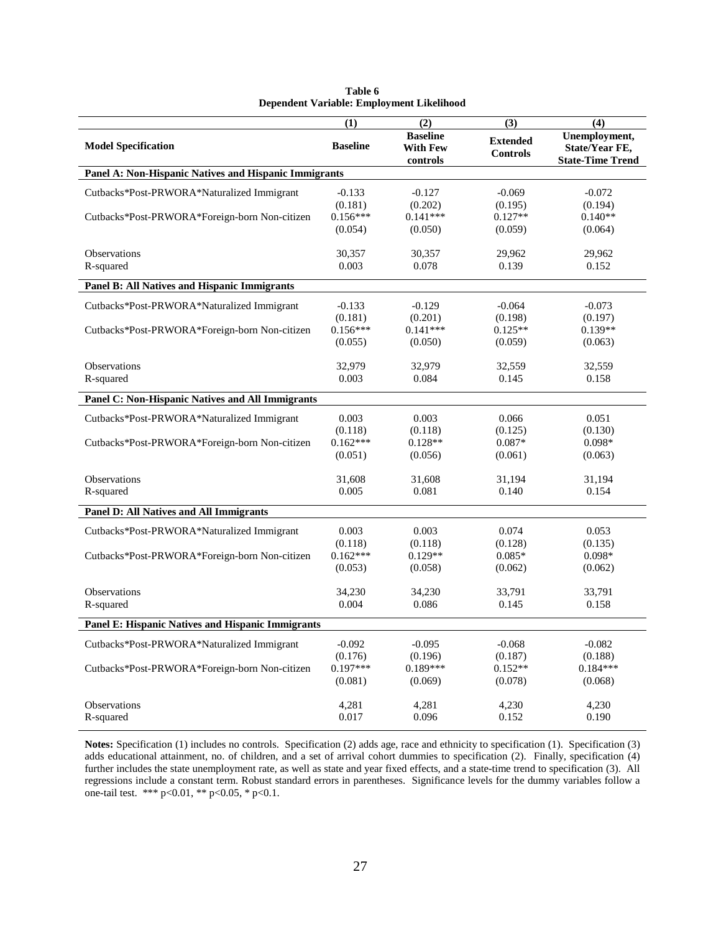|                                                                                             | (1)                                          | (2)                                            | (3)                                         | (4)                                                               |  |
|---------------------------------------------------------------------------------------------|----------------------------------------------|------------------------------------------------|---------------------------------------------|-------------------------------------------------------------------|--|
| <b>Model Specification</b>                                                                  | <b>Baseline</b>                              | <b>Baseline</b><br><b>With Few</b><br>controls | <b>Extended</b><br><b>Controls</b>          | Unemployment,<br><b>State/Year FE,</b><br><b>State-Time Trend</b> |  |
| Panel A: Non-Hispanic Natives and Hispanic Immigrants                                       |                                              |                                                |                                             |                                                                   |  |
| Cutbacks*Post-PRWORA*Naturalized Immigrant                                                  | $-0.133$<br>(0.181)                          | $-0.127$<br>(0.202)                            | $-0.069$<br>(0.195)                         | $-0.072$<br>(0.194)                                               |  |
| Cutbacks*Post-PRWORA*Foreign-born Non-citizen                                               | $0.156***$<br>(0.054)                        | $0.141***$<br>(0.050)                          | $0.127**$<br>(0.059)                        | $0.140**$<br>(0.064)                                              |  |
| <b>Observations</b><br>R-squared                                                            | 30,357<br>0.003                              | 30,357<br>0.078                                | 29,962<br>0.139                             | 29,962<br>0.152                                                   |  |
| Panel B: All Natives and Hispanic Immigrants                                                |                                              |                                                |                                             |                                                                   |  |
| Cutbacks*Post-PRWORA*Naturalized Immigrant<br>Cutbacks*Post-PRWORA*Foreign-born Non-citizen | $-0.133$<br>(0.181)<br>$0.156***$            | $-0.129$<br>(0.201)<br>$0.141***$              | $-0.064$<br>(0.198)<br>$0.125**$            | $-0.073$<br>(0.197)<br>$0.139**$                                  |  |
| Observations                                                                                | (0.055)<br>32.979                            | (0.050)<br>32.979                              | (0.059)<br>32.559                           | (0.063)                                                           |  |
| R-squared                                                                                   | 0.003                                        | 0.084                                          | 0.145                                       | 32,559<br>0.158                                                   |  |
| Panel C: Non-Hispanic Natives and All Immigrants                                            |                                              |                                                |                                             |                                                                   |  |
| Cutbacks*Post-PRWORA*Naturalized Immigrant<br>Cutbacks*Post-PRWORA*Foreign-born Non-citizen | 0.003<br>(0.118)<br>$0.162***$<br>(0.051)    | 0.003<br>(0.118)<br>$0.128**$<br>(0.056)       | 0.066<br>(0.125)<br>$0.087*$<br>(0.061)     | 0.051<br>(0.130)<br>$0.098*$<br>(0.063)                           |  |
| <b>Observations</b><br>R-squared                                                            | 31,608<br>0.005                              | 31,608<br>0.081                                | 31,194<br>0.140                             | 31,194<br>0.154                                                   |  |
| <b>Panel D: All Natives and All Immigrants</b>                                              |                                              |                                                |                                             |                                                                   |  |
| Cutbacks*Post-PRWORA*Naturalized Immigrant<br>Cutbacks*Post-PRWORA*Foreign-born Non-citizen | 0.003<br>(0.118)<br>$0.162***$<br>(0.053)    | 0.003<br>(0.118)<br>$0.129**$<br>(0.058)       | 0.074<br>(0.128)<br>$0.085*$<br>(0.062)     | 0.053<br>(0.135)<br>$0.098*$<br>(0.062)                           |  |
| <b>Observations</b><br>R-squared                                                            | 34,230<br>0.004                              | 34,230<br>0.086                                | 33,791<br>0.145                             | 33,791<br>0.158                                                   |  |
| <b>Panel E: Hispanic Natives and Hispanic Immigrants</b>                                    |                                              |                                                |                                             |                                                                   |  |
| Cutbacks*Post-PRWORA*Naturalized Immigrant<br>Cutbacks*Post-PRWORA*Foreign-born Non-citizen | $-0.092$<br>(0.176)<br>$0.197***$<br>(0.081) | $-0.095$<br>(0.196)<br>$0.189***$<br>(0.069)   | $-0.068$<br>(0.187)<br>$0.152**$<br>(0.078) | $-0.082$<br>(0.188)<br>$0.184***$<br>(0.068)                      |  |
| <b>Observations</b><br>R-squared                                                            | 4.281<br>0.017                               | 4.281<br>0.096                                 | 4,230<br>0.152                              | 4.230<br>0.190                                                    |  |

| Table 6                                   |  |  |  |  |  |
|-------------------------------------------|--|--|--|--|--|
| Dependent Variable: Employment Likelihood |  |  |  |  |  |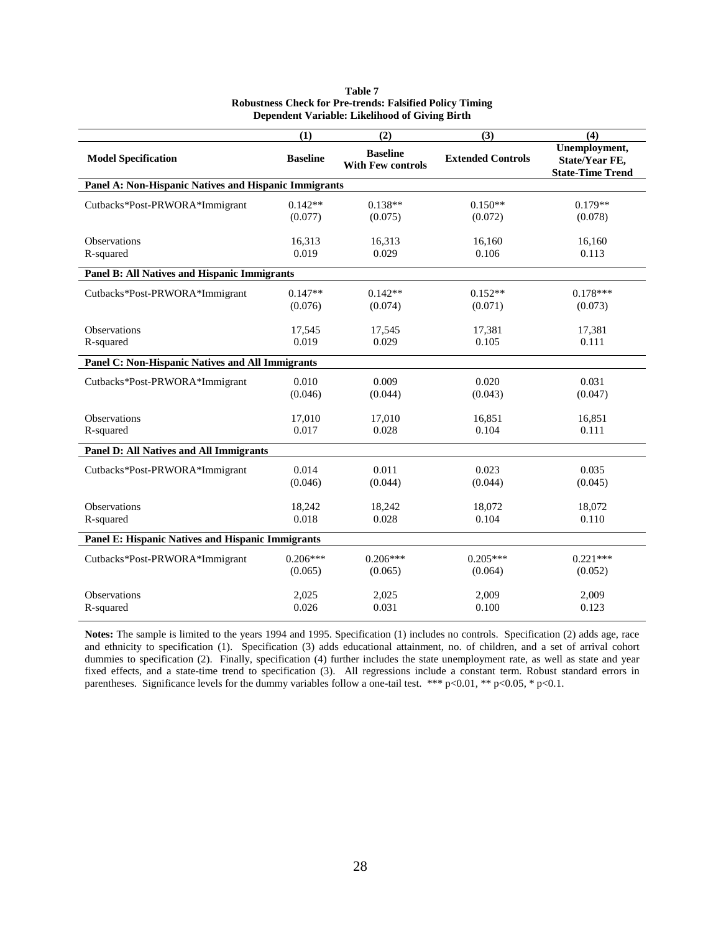|                                                       | (1)             | (2)                                         | (3)                      | (4)                                                               |
|-------------------------------------------------------|-----------------|---------------------------------------------|--------------------------|-------------------------------------------------------------------|
| <b>Model Specification</b>                            | <b>Baseline</b> | <b>Baseline</b><br><b>With Few controls</b> | <b>Extended Controls</b> | Unemployment,<br><b>State/Year FE,</b><br><b>State-Time Trend</b> |
| Panel A: Non-Hispanic Natives and Hispanic Immigrants |                 |                                             |                          |                                                                   |
| Cutbacks*Post-PRWORA*Immigrant                        | $0.142**$       | $0.138**$                                   | $0.150**$                | $0.179**$                                                         |
|                                                       | (0.077)         | (0.075)                                     | (0.072)                  | (0.078)                                                           |
| Observations                                          | 16,313          | 16,313                                      | 16,160                   | 16,160                                                            |
| R-squared                                             | 0.019           | 0.029                                       | 0.106                    | 0.113                                                             |
| Panel B: All Natives and Hispanic Immigrants          |                 |                                             |                          |                                                                   |
| Cutbacks*Post-PRWORA*Immigrant                        | $0.147**$       | $0.142**$                                   | $0.152**$                | $0.178***$                                                        |
|                                                       | (0.076)         | (0.074)                                     | (0.071)                  | (0.073)                                                           |
| Observations                                          | 17,545          | 17,545                                      | 17,381                   | 17,381                                                            |
| R-squared                                             | 0.019           | 0.029                                       | 0.105                    | 0.111                                                             |
| Panel C: Non-Hispanic Natives and All Immigrants      |                 |                                             |                          |                                                                   |
| Cutbacks*Post-PRWORA*Immigrant                        | 0.010           | 0.009                                       | 0.020                    | 0.031                                                             |
|                                                       | (0.046)         | (0.044)                                     | (0.043)                  | (0.047)                                                           |
| <b>Observations</b>                                   | 17.010          | 17,010                                      | 16.851                   | 16,851                                                            |
| R-squared                                             | 0.017           | 0.028                                       | 0.104                    | 0.111                                                             |
| Panel D: All Natives and All Immigrants               |                 |                                             |                          |                                                                   |
| Cutbacks*Post-PRWORA*Immigrant                        | 0.014           | 0.011                                       | 0.023                    | 0.035                                                             |
|                                                       | (0.046)         | (0.044)                                     | (0.044)                  | (0.045)                                                           |
| Observations                                          | 18,242          | 18,242                                      | 18,072                   | 18,072                                                            |
| R-squared                                             | 0.018           | 0.028                                       | 0.104                    | 0.110                                                             |
| Panel E: Hispanic Natives and Hispanic Immigrants     |                 |                                             |                          |                                                                   |
| Cutbacks*Post-PRWORA*Immigrant                        | $0.206***$      | $0.206***$                                  | $0.205***$               | $0.221***$                                                        |
|                                                       | (0.065)         | (0.065)                                     | (0.064)                  | (0.052)                                                           |
| Observations                                          | 2,025           | 2,025                                       | 2,009                    | 2,009                                                             |
| R-squared                                             | 0.026           | 0.031                                       | 0.100                    | 0.123                                                             |

#### **Table 7 Robustness Check for Pre-trends: Falsified Policy Timing Dependent Variable: Likelihood of Giving Birth**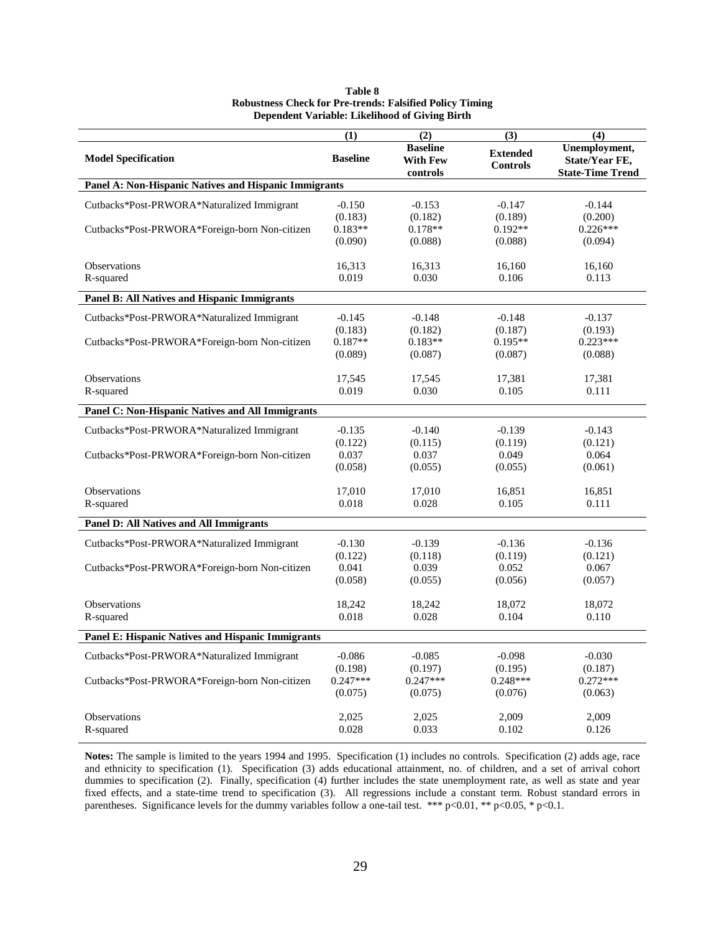|                                                       | (1)                   | (2)                   | (3)                   | (4)                     |
|-------------------------------------------------------|-----------------------|-----------------------|-----------------------|-------------------------|
|                                                       |                       | <b>Baseline</b>       | <b>Extended</b>       | Unemployment,           |
| <b>Model Specification</b>                            | <b>Baseline</b>       | <b>With Few</b>       | <b>Controls</b>       | State/Year FE,          |
| Panel A: Non-Hispanic Natives and Hispanic Immigrants |                       | controls              |                       | <b>State-Time Trend</b> |
|                                                       |                       |                       |                       |                         |
| Cutbacks*Post-PRWORA*Naturalized Immigrant            | $-0.150$              | $-0.153$              | $-0.147$              | $-0.144$                |
|                                                       | (0.183)               | (0.182)               | (0.189)               | (0.200)                 |
| Cutbacks*Post-PRWORA*Foreign-born Non-citizen         | $0.183**$<br>(0.090)  | $0.178**$<br>(0.088)  | $0.192**$             | $0.226***$<br>(0.094)   |
|                                                       |                       |                       | (0.088)               |                         |
| <b>Observations</b>                                   | 16,313                | 16,313                | 16,160                | 16,160                  |
| R-squared                                             | 0.019                 | 0.030                 | 0.106                 | 0.113                   |
| Panel B: All Natives and Hispanic Immigrants          |                       |                       |                       |                         |
| Cutbacks*Post-PRWORA*Naturalized Immigrant            | $-0.145$              | $-0.148$              | $-0.148$              | $-0.137$                |
|                                                       | (0.183)               | (0.182)               | (0.187)               | (0.193)                 |
| Cutbacks*Post-PRWORA*Foreign-born Non-citizen         | $0.187**$             | $0.183**$             | $0.195**$             | $0.223***$              |
|                                                       | (0.089)               | (0.087)               | (0.087)               | (0.088)                 |
| <b>Observations</b>                                   | 17,545                | 17,545                | 17,381                | 17,381                  |
| R-squared                                             | 0.019                 | 0.030                 | 0.105                 | 0.111                   |
|                                                       |                       |                       |                       |                         |
| Panel C: Non-Hispanic Natives and All Immigrants      |                       |                       |                       |                         |
| Cutbacks*Post-PRWORA*Naturalized Immigrant            | $-0.135$              | $-0.140$              | $-0.139$              | $-0.143$                |
|                                                       | (0.122)               | (0.115)               | (0.119)               | (0.121)                 |
| Cutbacks*Post-PRWORA*Foreign-born Non-citizen         | 0.037                 | 0.037                 | 0.049                 | 0.064                   |
|                                                       | (0.058)               | (0.055)               | (0.055)               | (0.061)                 |
| Observations                                          | 17,010                | 17,010                | 16,851                | 16,851                  |
| R-squared                                             | 0.018                 | 0.028                 | 0.105                 | 0.111                   |
| Panel D: All Natives and All Immigrants               |                       |                       |                       |                         |
| Cutbacks*Post-PRWORA*Naturalized Immigrant            | $-0.130$              | $-0.139$              | $-0.136$              | $-0.136$                |
|                                                       | (0.122)               | (0.118)               | (0.119)               | (0.121)                 |
| Cutbacks*Post-PRWORA*Foreign-born Non-citizen         | 0.041                 | 0.039                 | 0.052                 | 0.067                   |
|                                                       | (0.058)               | (0.055)               | (0.056)               | (0.057)                 |
| <b>Observations</b>                                   | 18,242                | 18,242                | 18,072                | 18,072                  |
| R-squared                                             | 0.018                 | 0.028                 | 0.104                 | 0.110                   |
|                                                       |                       |                       |                       |                         |
| Panel E: Hispanic Natives and Hispanic Immigrants     |                       |                       |                       |                         |
| Cutbacks*Post-PRWORA*Naturalized Immigrant            | $-0.086$              | $-0.085$              | $-0.098$              | $-0.030$                |
|                                                       | (0.198)               | (0.197)               | (0.195)               | (0.187)                 |
| Cutbacks*Post-PRWORA*Foreign-born Non-citizen         | $0.247***$<br>(0.075) | $0.247***$<br>(0.075) | $0.248***$<br>(0.076) | $0.272***$              |
|                                                       |                       |                       |                       | (0.063)                 |
| Observations                                          | 2,025                 | 2,025                 | 2,009                 | 2,009                   |
| R-squared                                             | 0.028                 | 0.033                 | 0.102                 | 0.126                   |

| <b>Table 8</b>                                                  |
|-----------------------------------------------------------------|
| <b>Robustness Check for Pre-trends: Falsified Policy Timing</b> |
| Dependent Variable: Likelihood of Giving Birth                  |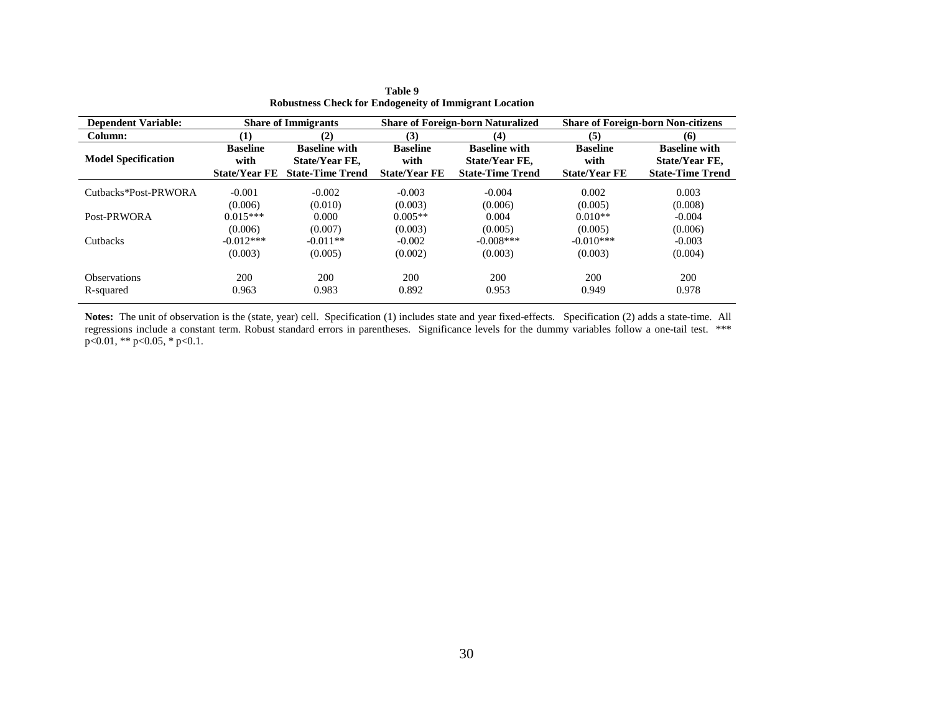| <b>Dependent Variable:</b> |                      | <b>Share of Immigrants</b> |                      | <b>Share of Foreign-born Naturalized</b> | <b>Share of Foreign-born Non-citizens</b> |                         |  |  |
|----------------------------|----------------------|----------------------------|----------------------|------------------------------------------|-------------------------------------------|-------------------------|--|--|
| Column:                    | (1)                  | (2)                        | (3)                  | (4)                                      | (5)                                       | (6)                     |  |  |
| <b>Model Specification</b> | <b>Baseline</b>      | <b>Baseline with</b>       | <b>Baseline</b>      | <b>Baseline with</b>                     | <b>Baseline</b>                           | <b>Baseline with</b>    |  |  |
|                            | with                 | State/Year FE,             | with                 | State/Year FE,                           | with                                      | State/Year FE,          |  |  |
|                            | <b>State/Year FE</b> | <b>State-Time Trend</b>    | <b>State/Year FE</b> | <b>State-Time Trend</b>                  | <b>State/Year FE</b>                      | <b>State-Time Trend</b> |  |  |
| Cuthacks*Post-PRWORA       | $-0.001$             | $-0.002$                   | $-0.003$             | $-0.004$                                 | 0.002                                     | 0.003                   |  |  |
|                            | (0.006)              | (0.010)                    | (0.003)              | (0.006)                                  | (0.005)                                   | (0.008)                 |  |  |
| Post-PRWORA                | $0.015***$           | 0.000                      | $0.005**$            | 0.004                                    | $0.010**$                                 | $-0.004$                |  |  |
|                            | (0.006)              | (0.007)                    | (0.003)              | (0.005)                                  | (0.005)                                   | (0.006)                 |  |  |
| Cutbacks                   | $-0.012***$          | $-0.011**$                 | $-0.002$             | $-0.008$ ***                             | $-0.010***$                               | $-0.003$                |  |  |
|                            | (0.003)              | (0.005)                    | (0.002)              | (0.003)                                  | (0.003)                                   | (0.004)                 |  |  |
| <b>Observations</b>        | 200                  | 200                        | 200                  | 200                                      | 200                                       | 200                     |  |  |
| R-squared                  | 0.963                | 0.983                      | 0.892                | 0.953                                    | 0.949                                     | 0.978                   |  |  |

| Table 9                                                       |
|---------------------------------------------------------------|
| <b>Robustness Check for Endogeneity of Immigrant Location</b> |

**Notes:** The unit of observation is the (state, year) cell. Specification (1) includes state and year fixed-effects. Specification (2) adds a state-time. All regressions include a constant term. Robust standard errors in parentheses. Significance levels for the dummy variables follow a one-tail test. \*\*\*  $p<0.01$ , \*\*  $p<0.05$ , \*  $p<0.1$ .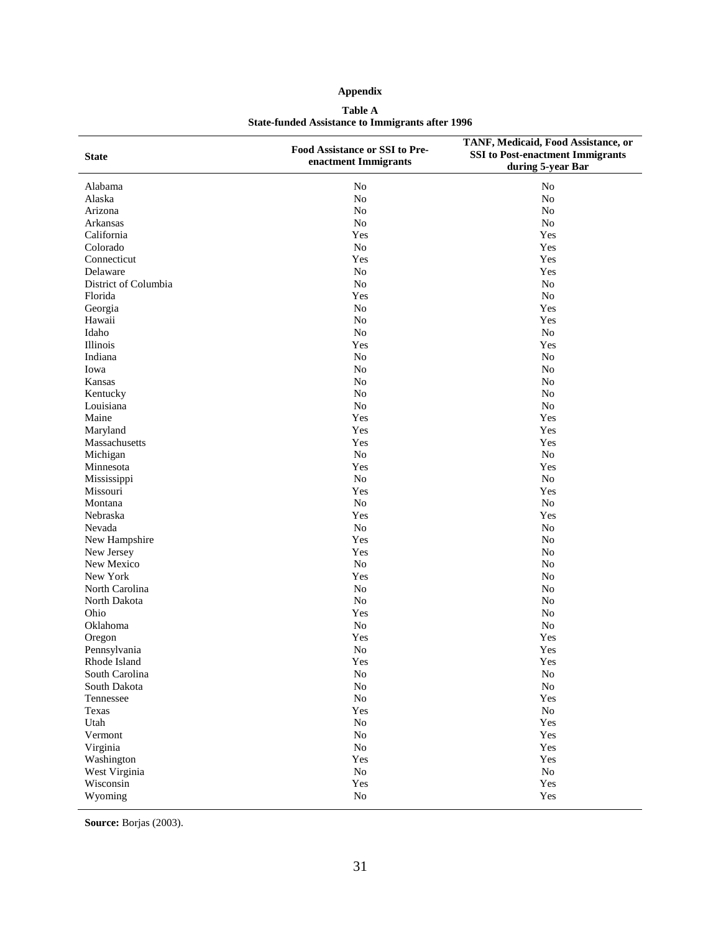### **Appendix**

#### **Table A State-funded Assistance to Immigrants after 1996**

| <b>State</b>         | Food Assistance or SSI to Pre-<br>enactment Immigrants | TANF, Medicaid, Food Assistance, or<br><b>SSI</b> to Post-enactment Immigrants<br>during 5-year Bar |
|----------------------|--------------------------------------------------------|-----------------------------------------------------------------------------------------------------|
| Alabama              | N <sub>o</sub>                                         | N <sub>o</sub>                                                                                      |
| Alaska               | N <sub>o</sub>                                         | No                                                                                                  |
| Arizona              | $\rm No$                                               | No                                                                                                  |
| Arkansas             | $\rm No$                                               | No                                                                                                  |
| California           | Yes                                                    | Yes                                                                                                 |
| Colorado             | No                                                     | Yes                                                                                                 |
| Connecticut          | Yes                                                    | Yes                                                                                                 |
| Delaware             | N <sub>o</sub>                                         | Yes                                                                                                 |
| District of Columbia | N <sub>o</sub>                                         | No                                                                                                  |
| Florida              | Yes                                                    | No                                                                                                  |
| Georgia              | No                                                     | Yes                                                                                                 |
| Hawaii               | <b>No</b>                                              | Yes                                                                                                 |
| Idaho                | N <sub>o</sub>                                         | No                                                                                                  |
| Illinois             | Yes                                                    | Yes                                                                                                 |
| Indiana              | No                                                     | N <sub>o</sub>                                                                                      |
| Iowa                 | $\rm No$                                               | N <sub>o</sub>                                                                                      |
| Kansas               | $\rm No$                                               | N <sub>o</sub>                                                                                      |
| Kentucky             | N <sub>o</sub>                                         | No                                                                                                  |
| Louisiana            | N <sub>o</sub>                                         | N <sub>o</sub>                                                                                      |
| Maine                | Yes                                                    | Yes                                                                                                 |
| Maryland             | Yes                                                    | Yes                                                                                                 |
| Massachusetts        | Yes                                                    | Yes                                                                                                 |
| Michigan             | No                                                     | N <sub>o</sub>                                                                                      |
| Minnesota            | Yes                                                    | Yes                                                                                                 |
| Mississippi          | No                                                     | N <sub>o</sub>                                                                                      |
| Missouri             | Yes                                                    | Yes                                                                                                 |
| Montana              | N <sub>o</sub>                                         | No                                                                                                  |
| Nebraska             | Yes                                                    | Yes                                                                                                 |
| Nevada               | No                                                     | N <sub>o</sub>                                                                                      |
| New Hampshire        | Yes                                                    | N <sub>o</sub>                                                                                      |
| New Jersey           | Yes                                                    | No                                                                                                  |
| New Mexico           | No                                                     | N <sub>o</sub>                                                                                      |
| New York             | Yes                                                    | N <sub>o</sub>                                                                                      |
| North Carolina       | <b>No</b>                                              | No                                                                                                  |
| North Dakota         | No                                                     | N <sub>o</sub>                                                                                      |
| Ohio                 | Yes                                                    | N <sub>o</sub>                                                                                      |
| Oklahoma             | No                                                     | N <sub>o</sub>                                                                                      |
| Oregon               | Yes                                                    | Yes                                                                                                 |
| Pennsylvania         | N <sub>o</sub>                                         | Yes                                                                                                 |
| Rhode Island         | Yes                                                    | Yes                                                                                                 |
| South Carolina       | $\rm No$                                               | $\rm No$                                                                                            |
| South Dakota         | ${\rm No}$                                             | $\rm No$                                                                                            |
| Tennessee            | $\rm No$                                               | Yes                                                                                                 |
| Texas                | Yes                                                    | $\rm No$                                                                                            |
| Utah                 | $\rm No$                                               | Yes                                                                                                 |
| Vermont              | $\rm No$                                               | Yes                                                                                                 |
| Virginia             | $\rm No$                                               | Yes                                                                                                 |
| Washington           | Yes                                                    | Yes                                                                                                 |
| West Virginia        | $\rm No$                                               | $\rm No$                                                                                            |
| Wisconsin            | Yes                                                    | Yes                                                                                                 |
| Wyoming              | $\rm No$                                               | Yes                                                                                                 |

**Source:** Borjas (2003).